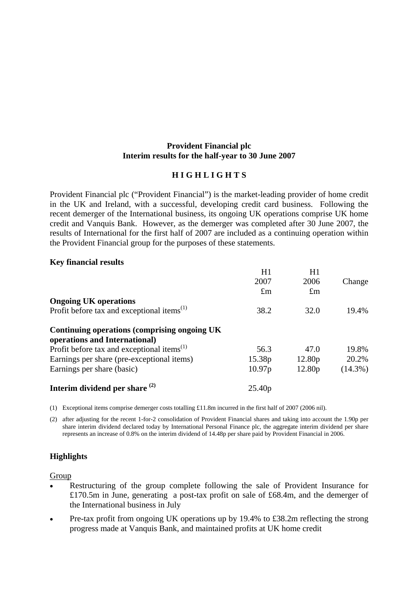# **Provident Financial plc Interim results for the half-year to 30 June 2007**

# **H I G H L I G H T S**

Provident Financial plc ("Provident Financial") is the market-leading provider of home credit in the UK and Ireland, with a successful, developing credit card business. Following the recent demerger of the International business, its ongoing UK operations comprise UK home credit and Vanquis Bank. However, as the demerger was completed after 30 June 2007, the results of International for the first half of 2007 are included as a continuing operation within the Provident Financial group for the purposes of these statements.

# **Key financial results**

|                                                  | H1                 | H1                 |            |
|--------------------------------------------------|--------------------|--------------------|------------|
|                                                  | 2007               | 2006               | Change     |
|                                                  | $\pounds$ m        | $\pounds$ m        |            |
| <b>Ongoing UK operations</b>                     |                    |                    |            |
| Profit before tax and exceptional items $^{(1)}$ | 38.2               | 32.0               | 19.4%      |
| Continuing operations (comprising ongoing UK     |                    |                    |            |
| operations and International)                    |                    |                    |            |
| Profit before tax and exceptional items $^{(1)}$ | 56.3               | 47.0               | 19.8%      |
| Earnings per share (pre-exceptional items)       | 15.38p             | 12.80 <sub>p</sub> | 20.2%      |
| Earnings per share (basic)                       | 10.97p             | 12.80 <sub>p</sub> | $(14.3\%)$ |
| Interim dividend per share $(2)$                 | 25.40 <sub>p</sub> |                    |            |

(1) Exceptional items comprise demerger costs totalling £11.8m incurred in the first half of 2007 (2006 nil).

(2) after adjusting for the recent 1-for-2 consolidation of Provident Financial shares and taking into account the 1.90p per share interim dividend declared today by International Personal Finance plc, the aggregate interim dividend per share represents an increase of 0.8% on the interim dividend of 14.48p per share paid by Provident Financial in 2006.

# **Highlights**

## Group

- Restructuring of the group complete following the sale of Provident Insurance for £170.5m in June, generating a post-tax profit on sale of £68.4m, and the demerger of the International business in July
- Pre-tax profit from ongoing UK operations up by 19.4% to £38.2m reflecting the strong progress made at Vanquis Bank, and maintained profits at UK home credit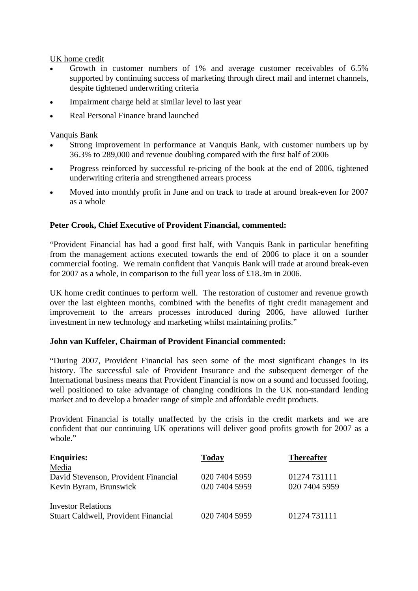# UK home credit

- Growth in customer numbers of 1% and average customer receivables of 6.5% supported by continuing success of marketing through direct mail and internet channels, despite tightened underwriting criteria
- Impairment charge held at similar level to last year
- Real Personal Finance brand launched

# Vanquis Bank

- Strong improvement in performance at Vanquis Bank, with customer numbers up by 36.3% to 289,000 and revenue doubling compared with the first half of 2006
- Progress reinforced by successful re-pricing of the book at the end of 2006, tightened underwriting criteria and strengthened arrears process
- Moved into monthly profit in June and on track to trade at around break-even for 2007 as a whole

# **Peter Crook, Chief Executive of Provident Financial, commented:**

"Provident Financial has had a good first half, with Vanquis Bank in particular benefiting from the management actions executed towards the end of 2006 to place it on a sounder commercial footing. We remain confident that Vanquis Bank will trade at around break-even for 2007 as a whole, in comparison to the full year loss of £18.3m in 2006.

UK home credit continues to perform well. The restoration of customer and revenue growth over the last eighteen months, combined with the benefits of tight credit management and improvement to the arrears processes introduced during 2006, have allowed further investment in new technology and marketing whilst maintaining profits."

## **John van Kuffeler, Chairman of Provident Financial commented:**

"During 2007, Provident Financial has seen some of the most significant changes in its history. The successful sale of Provident Insurance and the subsequent demerger of the International business means that Provident Financial is now on a sound and focussed footing, well positioned to take advantage of changing conditions in the UK non-standard lending market and to develop a broader range of simple and affordable credit products.

Provident Financial is totally unaffected by the crisis in the credit markets and we are confident that our continuing UK operations will deliver good profits growth for 2007 as a whole."

| <b>Enquiries:</b>                           | <b>Today</b>  | <b>Thereafter</b> |
|---------------------------------------------|---------------|-------------------|
| Media                                       |               |                   |
| David Stevenson, Provident Financial        | 020 7404 5959 | 01274 731111      |
| Kevin Byram, Brunswick                      | 020 7404 5959 | 020 7404 5959     |
| <b>Investor Relations</b>                   |               |                   |
| <b>Stuart Caldwell, Provident Financial</b> | 020 7404 5959 | 01274 731111      |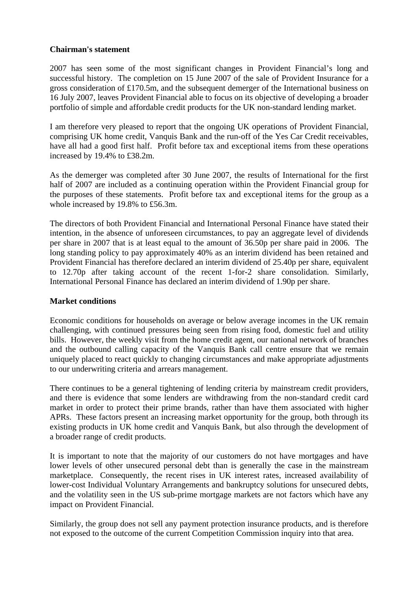# **Chairman's statement**

2007 has seen some of the most significant changes in Provident Financial's long and successful history. The completion on 15 June 2007 of the sale of Provident Insurance for a gross consideration of £170.5m, and the subsequent demerger of the International business on 16 July 2007, leaves Provident Financial able to focus on its objective of developing a broader portfolio of simple and affordable credit products for the UK non-standard lending market.

I am therefore very pleased to report that the ongoing UK operations of Provident Financial, comprising UK home credit, Vanquis Bank and the run-off of the Yes Car Credit receivables, have all had a good first half. Profit before tax and exceptional items from these operations increased by 19.4% to £38.2m.

As the demerger was completed after 30 June 2007, the results of International for the first half of 2007 are included as a continuing operation within the Provident Financial group for the purposes of these statements. Profit before tax and exceptional items for the group as a whole increased by 19.8% to £56.3m.

The directors of both Provident Financial and International Personal Finance have stated their intention, in the absence of unforeseen circumstances, to pay an aggregate level of dividends per share in 2007 that is at least equal to the amount of 36.50p per share paid in 2006. The long standing policy to pay approximately 40% as an interim dividend has been retained and Provident Financial has therefore declared an interim dividend of 25.40p per share, equivalent to 12.70p after taking account of the recent 1-for-2 share consolidation. Similarly, International Personal Finance has declared an interim dividend of 1.90p per share.

## **Market conditions**

Economic conditions for households on average or below average incomes in the UK remain challenging, with continued pressures being seen from rising food, domestic fuel and utility bills. However, the weekly visit from the home credit agent, our national network of branches and the outbound calling capacity of the Vanquis Bank call centre ensure that we remain uniquely placed to react quickly to changing circumstances and make appropriate adjustments to our underwriting criteria and arrears management.

There continues to be a general tightening of lending criteria by mainstream credit providers, and there is evidence that some lenders are withdrawing from the non-standard credit card market in order to protect their prime brands, rather than have them associated with higher APRs. These factors present an increasing market opportunity for the group, both through its existing products in UK home credit and Vanquis Bank, but also through the development of a broader range of credit products.

It is important to note that the majority of our customers do not have mortgages and have lower levels of other unsecured personal debt than is generally the case in the mainstream marketplace. Consequently, the recent rises in UK interest rates, increased availability of lower-cost Individual Voluntary Arrangements and bankruptcy solutions for unsecured debts, and the volatility seen in the US sub-prime mortgage markets are not factors which have any impact on Provident Financial.

Similarly, the group does not sell any payment protection insurance products, and is therefore not exposed to the outcome of the current Competition Commission inquiry into that area.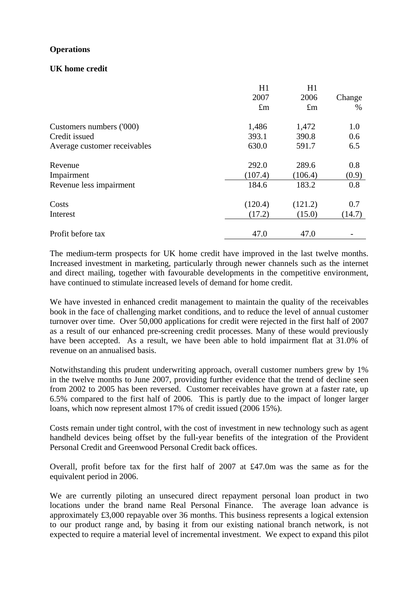# **Operations**

# **UK home credit**

|                              | H1<br>2007<br>$\pounds$ m | H1<br>2006<br>$\pounds$ m | Change<br>$\%$ |
|------------------------------|---------------------------|---------------------------|----------------|
| Customers numbers ('000)     | 1,486                     | 1,472                     | 1.0            |
| Credit issued                | 393.1                     | 390.8                     | 0.6            |
| Average customer receivables | 630.0                     | 591.7                     | 6.5            |
| Revenue                      | 292.0                     | 289.6                     | 0.8            |
| Impairment                   | (107.4)                   | (106.4)                   | (0.9)          |
| Revenue less impairment      | 184.6                     | 183.2                     | 0.8            |
| Costs                        | (120.4)                   | (121.2)                   | 0.7            |
| Interest                     | (17.2)                    | (15.0)                    | (14.7)         |
| Profit before tax            | 47.0                      | 47.0                      |                |

The medium-term prospects for UK home credit have improved in the last twelve months. Increased investment in marketing, particularly through newer channels such as the internet and direct mailing, together with favourable developments in the competitive environment, have continued to stimulate increased levels of demand for home credit.

We have invested in enhanced credit management to maintain the quality of the receivables book in the face of challenging market conditions, and to reduce the level of annual customer turnover over time. Over 50,000 applications for credit were rejected in the first half of 2007 as a result of our enhanced pre-screening credit processes. Many of these would previously have been accepted. As a result, we have been able to hold impairment flat at 31.0% of revenue on an annualised basis.

Notwithstanding this prudent underwriting approach, overall customer numbers grew by 1% in the twelve months to June 2007, providing further evidence that the trend of decline seen from 2002 to 2005 has been reversed. Customer receivables have grown at a faster rate, up 6.5% compared to the first half of 2006. This is partly due to the impact of longer larger loans, which now represent almost 17% of credit issued (2006 15%).

Costs remain under tight control, with the cost of investment in new technology such as agent handheld devices being offset by the full-year benefits of the integration of the Provident Personal Credit and Greenwood Personal Credit back offices.

Overall, profit before tax for the first half of 2007 at £47.0m was the same as for the equivalent period in 2006.

We are currently piloting an unsecured direct repayment personal loan product in two locations under the brand name Real Personal Finance. The average loan advance is approximately £3,000 repayable over 36 months. This business represents a logical extension to our product range and, by basing it from our existing national branch network, is not expected to require a material level of incremental investment. We expect to expand this pilot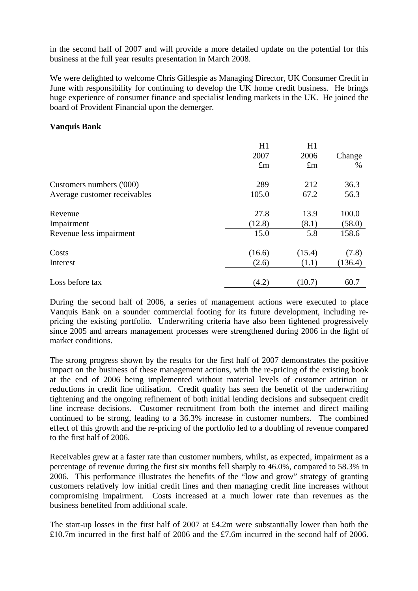in the second half of 2007 and will provide a more detailed update on the potential for this business at the full year results presentation in March 2008.

We were delighted to welcome Chris Gillespie as Managing Director, UK Consumer Credit in June with responsibility for continuing to develop the UK home credit business. He brings huge experience of consumer finance and specialist lending markets in the UK. He joined the board of Provident Financial upon the demerger.

### **Vanquis Bank**

|                              | H1          | H1          |         |
|------------------------------|-------------|-------------|---------|
|                              | 2007        | 2006        | Change  |
|                              | $\pounds$ m | $\pounds$ m | $\%$    |
| Customers numbers ('000)     | 289         | 212         | 36.3    |
| Average customer receivables | 105.0       | 67.2        | 56.3    |
| Revenue                      | 27.8        | 13.9        | 100.0   |
| Impairment                   | (12.8)      | (8.1)       | (58.0)  |
| Revenue less impairment      | 15.0        | 5.8         | 158.6   |
| Costs                        | (16.6)      | (15.4)      | (7.8)   |
| Interest                     | (2.6)       | (1.1)       | (136.4) |
| Loss before tax              | (4.2)       | (10.7)      | 60.7    |

During the second half of 2006, a series of management actions were executed to place Vanquis Bank on a sounder commercial footing for its future development, including repricing the existing portfolio. Underwriting criteria have also been tightened progressively since 2005 and arrears management processes were strengthened during 2006 in the light of market conditions.

The strong progress shown by the results for the first half of 2007 demonstrates the positive impact on the business of these management actions, with the re-pricing of the existing book at the end of 2006 being implemented without material levels of customer attrition or reductions in credit line utilisation. Credit quality has seen the benefit of the underwriting tightening and the ongoing refinement of both initial lending decisions and subsequent credit line increase decisions. Customer recruitment from both the internet and direct mailing continued to be strong, leading to a 36.3% increase in customer numbers. The combined effect of this growth and the re-pricing of the portfolio led to a doubling of revenue compared to the first half of 2006.

Receivables grew at a faster rate than customer numbers, whilst, as expected, impairment as a percentage of revenue during the first six months fell sharply to 46.0%, compared to 58.3% in 2006. This performance illustrates the benefits of the "low and grow" strategy of granting customers relatively low initial credit lines and then managing credit line increases without compromising impairment. Costs increased at a much lower rate than revenues as the business benefited from additional scale.

The start-up losses in the first half of 2007 at £4.2m were substantially lower than both the £10.7m incurred in the first half of 2006 and the £7.6m incurred in the second half of 2006.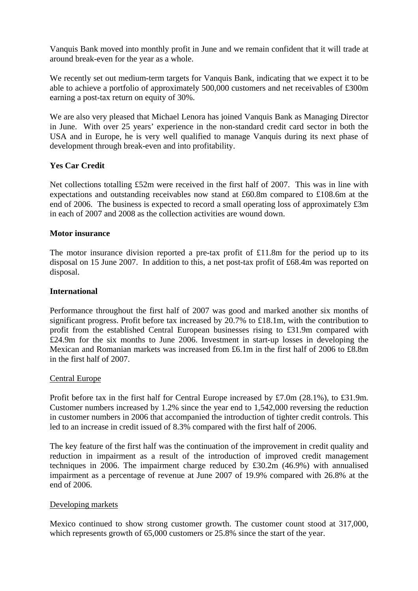Vanquis Bank moved into monthly profit in June and we remain confident that it will trade at around break-even for the year as a whole.

We recently set out medium-term targets for Vanquis Bank, indicating that we expect it to be able to achieve a portfolio of approximately 500,000 customers and net receivables of £300m earning a post-tax return on equity of 30%.

We are also very pleased that Michael Lenora has joined Vanquis Bank as Managing Director in June. With over 25 years' experience in the non-standard credit card sector in both the USA and in Europe, he is very well qualified to manage Vanquis during its next phase of development through break-even and into profitability.

# **Yes Car Credit**

Net collections totalling £52m were received in the first half of 2007. This was in line with expectations and outstanding receivables now stand at £60.8m compared to £108.6m at the end of 2006. The business is expected to record a small operating loss of approximately £3m in each of 2007 and 2008 as the collection activities are wound down.

# **Motor insurance**

The motor insurance division reported a pre-tax profit of £11.8m for the period up to its disposal on 15 June 2007. In addition to this, a net post-tax profit of £68.4m was reported on disposal.

# **International**

Performance throughout the first half of 2007 was good and marked another six months of significant progress. Profit before tax increased by 20.7% to £18.1m, with the contribution to profit from the established Central European businesses rising to £31.9m compared with £24.9m for the six months to June 2006. Investment in start-up losses in developing the Mexican and Romanian markets was increased from £6.1m in the first half of 2006 to £8.8m in the first half of 2007.

## Central Europe

Profit before tax in the first half for Central Europe increased by £7.0m (28.1%), to £31.9m. Customer numbers increased by 1.2% since the year end to 1,542,000 reversing the reduction in customer numbers in 2006 that accompanied the introduction of tighter credit controls. This led to an increase in credit issued of 8.3% compared with the first half of 2006.

The key feature of the first half was the continuation of the improvement in credit quality and reduction in impairment as a result of the introduction of improved credit management techniques in 2006. The impairment charge reduced by £30.2m (46.9%) with annualised impairment as a percentage of revenue at June 2007 of 19.9% compared with 26.8% at the end of 2006.

## Developing markets

Mexico continued to show strong customer growth. The customer count stood at 317,000, which represents growth of 65,000 customers or 25.8% since the start of the year.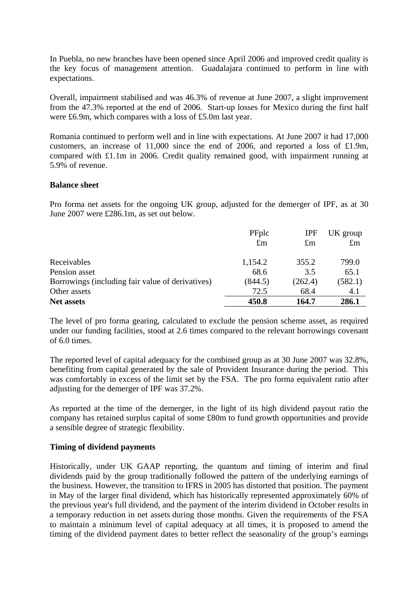In Puebla, no new branches have been opened since April 2006 and improved credit quality is the key focus of management attention. Guadalajara continued to perform in line with expectations.

Overall, impairment stabilised and was 46.3% of revenue at June 2007, a slight improvement from the 47.3% reported at the end of 2006. Start-up losses for Mexico during the first half were £6.9m, which compares with a loss of £5.0m last year.

Romania continued to perform well and in line with expectations. At June 2007 it had 17,000 customers, an increase of 11,000 since the end of 2006, and reported a loss of £1.9m, compared with £1.1m in 2006. Credit quality remained good, with impairment running at 5.9% of revenue.

### **Balance sheet**

Pro forma net assets for the ongoing UK group, adjusted for the demerger of IPF, as at 30 June 2007 were £286.1m, as set out below.

|                                                  | PFplc<br>$\pounds$ m | <b>IPF</b><br>$\pounds$ m | UK group<br>$\pounds$ m |
|--------------------------------------------------|----------------------|---------------------------|-------------------------|
| Receivables                                      | 1,154.2              | 355.2                     | 799.0                   |
| Pension asset                                    | 68.6                 | 3.5                       | 65.1                    |
| Borrowings (including fair value of derivatives) | (844.5)              | (262.4)                   | (582.1)                 |
| Other assets                                     | 72.5                 | 68.4                      | 4.1                     |
| <b>Net assets</b>                                | 450.8                | 164.7                     | 286.1                   |

The level of pro forma gearing, calculated to exclude the pension scheme asset, as required under our funding facilities, stood at 2.6 times compared to the relevant borrowings covenant of 6.0 times.

The reported level of capital adequacy for the combined group as at 30 June 2007 was 32.8%, benefiting from capital generated by the sale of Provident Insurance during the period. This was comfortably in excess of the limit set by the FSA. The pro forma equivalent ratio after adjusting for the demerger of IPF was 37.2%.

As reported at the time of the demerger, in the light of its high dividend payout ratio the company has retained surplus capital of some £80m to fund growth opportunities and provide a sensible degree of strategic flexibility.

## **Timing of dividend payments**

Historically, under UK GAAP reporting, the quantum and timing of interim and final dividends paid by the group traditionally followed the pattern of the underlying earnings of the business. However, the transition to IFRS in 2005 has distorted that position. The payment in May of the larger final dividend, which has historically represented approximately 60% of the previous year's full dividend, and the payment of the interim dividend in October results in a temporary reduction in net assets during those months. Given the requirements of the FSA to maintain a minimum level of capital adequacy at all times, it is proposed to amend the timing of the dividend payment dates to better reflect the seasonality of the group's earnings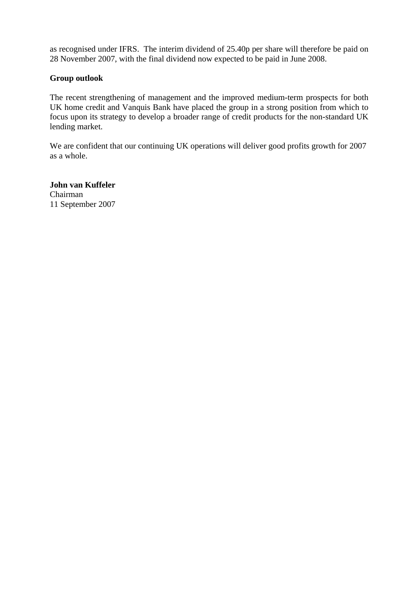as recognised under IFRS. The interim dividend of 25.40p per share will therefore be paid on 28 November 2007, with the final dividend now expected to be paid in June 2008.

### **Group outlook**

The recent strengthening of management and the improved medium-term prospects for both UK home credit and Vanquis Bank have placed the group in a strong position from which to focus upon its strategy to develop a broader range of credit products for the non-standard UK lending market.

We are confident that our continuing UK operations will deliver good profits growth for 2007 as a whole.

**John van Kuffeler**  Chairman 11 September 2007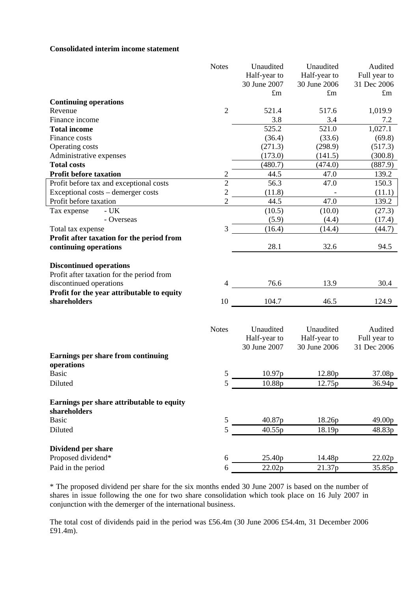#### **Consolidated interim income statement**

| Half-year to<br>Half-year to<br>Full year to<br>30 June 2007<br>30 June 2006<br>31 Dec 2006<br>$\pounds$ m<br>$\pounds$ m<br>$\pounds$ m<br><b>Continuing operations</b><br>$\overline{2}$<br>521.4<br>517.6<br>1,019.9<br>Revenue<br>3.8<br>Finance income<br>3.4<br>7.2<br>525.2<br><b>Total income</b><br>521.0<br>1,027.1<br>(36.4)<br>(33.6)<br>Finance costs<br>(69.8)<br>Operating costs<br>(271.3)<br>(298.9)<br>(517.3)<br>(173.0)<br>Administrative expenses<br>(141.5)<br>(300.8)<br><b>Total costs</b><br>(480.7)<br>(887.9)<br>(474.0)<br><b>Profit before taxation</b><br>$\overline{c}$<br>44.5<br>47.0<br>139.2<br>$\overline{c}$<br>56.3<br>150.3<br>Profit before tax and exceptional costs<br>47.0<br>$\overline{c}$<br>Exceptional costs – demerger costs<br>(11.8)<br>(11.1)<br>$\overline{2}$<br>44.5<br>47.0<br>139.2<br>Profit before taxation<br>(10.5)<br>(10.0)<br>(27.3)<br>Tax expense<br>$- UK$<br>- Overseas<br>(5.9)<br>(4.4)<br>(17.4)<br>3<br>(16.4)<br>(14.4)<br>(44.7)<br>Total tax expense<br>Profit after taxation for the period from<br>28.1<br>32.6<br>continuing operations<br>94.5<br><b>Discontinued operations</b><br>Profit after taxation for the period from<br>discontinued operations<br>76.6<br>13.9<br>30.4<br>4<br>Profit for the year attributable to equity<br>shareholders<br>10<br>104.7<br>46.5<br>124.9<br>Unaudited<br><b>Notes</b><br>Unaudited<br>Audited<br>Half-year to<br>Half-year to<br>Full year to<br>30 June 2006<br>30 June 2007<br>31 Dec 2006<br>Earnings per share from continuing<br>operations<br>5<br>12.80p<br><b>Basic</b><br>10.97p<br>37.08p<br>10.88p<br>Diluted<br>12.75p<br>36.94p<br>5<br>Earnings per share attributable to equity<br>shareholders<br>5<br>40.87p<br><b>Basic</b><br>18.26p<br>49.00p<br>5<br>Diluted<br>40.55p<br>18.19p<br>48.83p<br>Dividend per share<br>Proposed dividend*<br>25.40p<br>6<br>14.48p<br>22.02p<br>Paid in the period<br>22.02p<br>21.37p<br>35.85p<br>6 | <b>Notes</b> | Unaudited | Unaudited | Audited |
|-----------------------------------------------------------------------------------------------------------------------------------------------------------------------------------------------------------------------------------------------------------------------------------------------------------------------------------------------------------------------------------------------------------------------------------------------------------------------------------------------------------------------------------------------------------------------------------------------------------------------------------------------------------------------------------------------------------------------------------------------------------------------------------------------------------------------------------------------------------------------------------------------------------------------------------------------------------------------------------------------------------------------------------------------------------------------------------------------------------------------------------------------------------------------------------------------------------------------------------------------------------------------------------------------------------------------------------------------------------------------------------------------------------------------------------------------------------------------------------------------------------------------------------------------------------------------------------------------------------------------------------------------------------------------------------------------------------------------------------------------------------------------------------------------------------------------------------------------------------------------------------------------------------------------------------------------------------------------------------|--------------|-----------|-----------|---------|
|                                                                                                                                                                                                                                                                                                                                                                                                                                                                                                                                                                                                                                                                                                                                                                                                                                                                                                                                                                                                                                                                                                                                                                                                                                                                                                                                                                                                                                                                                                                                                                                                                                                                                                                                                                                                                                                                                                                                                                                   |              |           |           |         |
|                                                                                                                                                                                                                                                                                                                                                                                                                                                                                                                                                                                                                                                                                                                                                                                                                                                                                                                                                                                                                                                                                                                                                                                                                                                                                                                                                                                                                                                                                                                                                                                                                                                                                                                                                                                                                                                                                                                                                                                   |              |           |           |         |
|                                                                                                                                                                                                                                                                                                                                                                                                                                                                                                                                                                                                                                                                                                                                                                                                                                                                                                                                                                                                                                                                                                                                                                                                                                                                                                                                                                                                                                                                                                                                                                                                                                                                                                                                                                                                                                                                                                                                                                                   |              |           |           |         |
|                                                                                                                                                                                                                                                                                                                                                                                                                                                                                                                                                                                                                                                                                                                                                                                                                                                                                                                                                                                                                                                                                                                                                                                                                                                                                                                                                                                                                                                                                                                                                                                                                                                                                                                                                                                                                                                                                                                                                                                   |              |           |           |         |
|                                                                                                                                                                                                                                                                                                                                                                                                                                                                                                                                                                                                                                                                                                                                                                                                                                                                                                                                                                                                                                                                                                                                                                                                                                                                                                                                                                                                                                                                                                                                                                                                                                                                                                                                                                                                                                                                                                                                                                                   |              |           |           |         |
|                                                                                                                                                                                                                                                                                                                                                                                                                                                                                                                                                                                                                                                                                                                                                                                                                                                                                                                                                                                                                                                                                                                                                                                                                                                                                                                                                                                                                                                                                                                                                                                                                                                                                                                                                                                                                                                                                                                                                                                   |              |           |           |         |
|                                                                                                                                                                                                                                                                                                                                                                                                                                                                                                                                                                                                                                                                                                                                                                                                                                                                                                                                                                                                                                                                                                                                                                                                                                                                                                                                                                                                                                                                                                                                                                                                                                                                                                                                                                                                                                                                                                                                                                                   |              |           |           |         |
|                                                                                                                                                                                                                                                                                                                                                                                                                                                                                                                                                                                                                                                                                                                                                                                                                                                                                                                                                                                                                                                                                                                                                                                                                                                                                                                                                                                                                                                                                                                                                                                                                                                                                                                                                                                                                                                                                                                                                                                   |              |           |           |         |
|                                                                                                                                                                                                                                                                                                                                                                                                                                                                                                                                                                                                                                                                                                                                                                                                                                                                                                                                                                                                                                                                                                                                                                                                                                                                                                                                                                                                                                                                                                                                                                                                                                                                                                                                                                                                                                                                                                                                                                                   |              |           |           |         |
|                                                                                                                                                                                                                                                                                                                                                                                                                                                                                                                                                                                                                                                                                                                                                                                                                                                                                                                                                                                                                                                                                                                                                                                                                                                                                                                                                                                                                                                                                                                                                                                                                                                                                                                                                                                                                                                                                                                                                                                   |              |           |           |         |
|                                                                                                                                                                                                                                                                                                                                                                                                                                                                                                                                                                                                                                                                                                                                                                                                                                                                                                                                                                                                                                                                                                                                                                                                                                                                                                                                                                                                                                                                                                                                                                                                                                                                                                                                                                                                                                                                                                                                                                                   |              |           |           |         |
|                                                                                                                                                                                                                                                                                                                                                                                                                                                                                                                                                                                                                                                                                                                                                                                                                                                                                                                                                                                                                                                                                                                                                                                                                                                                                                                                                                                                                                                                                                                                                                                                                                                                                                                                                                                                                                                                                                                                                                                   |              |           |           |         |
|                                                                                                                                                                                                                                                                                                                                                                                                                                                                                                                                                                                                                                                                                                                                                                                                                                                                                                                                                                                                                                                                                                                                                                                                                                                                                                                                                                                                                                                                                                                                                                                                                                                                                                                                                                                                                                                                                                                                                                                   |              |           |           |         |
|                                                                                                                                                                                                                                                                                                                                                                                                                                                                                                                                                                                                                                                                                                                                                                                                                                                                                                                                                                                                                                                                                                                                                                                                                                                                                                                                                                                                                                                                                                                                                                                                                                                                                                                                                                                                                                                                                                                                                                                   |              |           |           |         |
|                                                                                                                                                                                                                                                                                                                                                                                                                                                                                                                                                                                                                                                                                                                                                                                                                                                                                                                                                                                                                                                                                                                                                                                                                                                                                                                                                                                                                                                                                                                                                                                                                                                                                                                                                                                                                                                                                                                                                                                   |              |           |           |         |
|                                                                                                                                                                                                                                                                                                                                                                                                                                                                                                                                                                                                                                                                                                                                                                                                                                                                                                                                                                                                                                                                                                                                                                                                                                                                                                                                                                                                                                                                                                                                                                                                                                                                                                                                                                                                                                                                                                                                                                                   |              |           |           |         |
|                                                                                                                                                                                                                                                                                                                                                                                                                                                                                                                                                                                                                                                                                                                                                                                                                                                                                                                                                                                                                                                                                                                                                                                                                                                                                                                                                                                                                                                                                                                                                                                                                                                                                                                                                                                                                                                                                                                                                                                   |              |           |           |         |
|                                                                                                                                                                                                                                                                                                                                                                                                                                                                                                                                                                                                                                                                                                                                                                                                                                                                                                                                                                                                                                                                                                                                                                                                                                                                                                                                                                                                                                                                                                                                                                                                                                                                                                                                                                                                                                                                                                                                                                                   |              |           |           |         |
|                                                                                                                                                                                                                                                                                                                                                                                                                                                                                                                                                                                                                                                                                                                                                                                                                                                                                                                                                                                                                                                                                                                                                                                                                                                                                                                                                                                                                                                                                                                                                                                                                                                                                                                                                                                                                                                                                                                                                                                   |              |           |           |         |
|                                                                                                                                                                                                                                                                                                                                                                                                                                                                                                                                                                                                                                                                                                                                                                                                                                                                                                                                                                                                                                                                                                                                                                                                                                                                                                                                                                                                                                                                                                                                                                                                                                                                                                                                                                                                                                                                                                                                                                                   |              |           |           |         |
|                                                                                                                                                                                                                                                                                                                                                                                                                                                                                                                                                                                                                                                                                                                                                                                                                                                                                                                                                                                                                                                                                                                                                                                                                                                                                                                                                                                                                                                                                                                                                                                                                                                                                                                                                                                                                                                                                                                                                                                   |              |           |           |         |
|                                                                                                                                                                                                                                                                                                                                                                                                                                                                                                                                                                                                                                                                                                                                                                                                                                                                                                                                                                                                                                                                                                                                                                                                                                                                                                                                                                                                                                                                                                                                                                                                                                                                                                                                                                                                                                                                                                                                                                                   |              |           |           |         |
|                                                                                                                                                                                                                                                                                                                                                                                                                                                                                                                                                                                                                                                                                                                                                                                                                                                                                                                                                                                                                                                                                                                                                                                                                                                                                                                                                                                                                                                                                                                                                                                                                                                                                                                                                                                                                                                                                                                                                                                   |              |           |           |         |
|                                                                                                                                                                                                                                                                                                                                                                                                                                                                                                                                                                                                                                                                                                                                                                                                                                                                                                                                                                                                                                                                                                                                                                                                                                                                                                                                                                                                                                                                                                                                                                                                                                                                                                                                                                                                                                                                                                                                                                                   |              |           |           |         |
|                                                                                                                                                                                                                                                                                                                                                                                                                                                                                                                                                                                                                                                                                                                                                                                                                                                                                                                                                                                                                                                                                                                                                                                                                                                                                                                                                                                                                                                                                                                                                                                                                                                                                                                                                                                                                                                                                                                                                                                   |              |           |           |         |
|                                                                                                                                                                                                                                                                                                                                                                                                                                                                                                                                                                                                                                                                                                                                                                                                                                                                                                                                                                                                                                                                                                                                                                                                                                                                                                                                                                                                                                                                                                                                                                                                                                                                                                                                                                                                                                                                                                                                                                                   |              |           |           |         |
|                                                                                                                                                                                                                                                                                                                                                                                                                                                                                                                                                                                                                                                                                                                                                                                                                                                                                                                                                                                                                                                                                                                                                                                                                                                                                                                                                                                                                                                                                                                                                                                                                                                                                                                                                                                                                                                                                                                                                                                   |              |           |           |         |
|                                                                                                                                                                                                                                                                                                                                                                                                                                                                                                                                                                                                                                                                                                                                                                                                                                                                                                                                                                                                                                                                                                                                                                                                                                                                                                                                                                                                                                                                                                                                                                                                                                                                                                                                                                                                                                                                                                                                                                                   |              |           |           |         |
|                                                                                                                                                                                                                                                                                                                                                                                                                                                                                                                                                                                                                                                                                                                                                                                                                                                                                                                                                                                                                                                                                                                                                                                                                                                                                                                                                                                                                                                                                                                                                                                                                                                                                                                                                                                                                                                                                                                                                                                   |              |           |           |         |
|                                                                                                                                                                                                                                                                                                                                                                                                                                                                                                                                                                                                                                                                                                                                                                                                                                                                                                                                                                                                                                                                                                                                                                                                                                                                                                                                                                                                                                                                                                                                                                                                                                                                                                                                                                                                                                                                                                                                                                                   |              |           |           |         |
|                                                                                                                                                                                                                                                                                                                                                                                                                                                                                                                                                                                                                                                                                                                                                                                                                                                                                                                                                                                                                                                                                                                                                                                                                                                                                                                                                                                                                                                                                                                                                                                                                                                                                                                                                                                                                                                                                                                                                                                   |              |           |           |         |
|                                                                                                                                                                                                                                                                                                                                                                                                                                                                                                                                                                                                                                                                                                                                                                                                                                                                                                                                                                                                                                                                                                                                                                                                                                                                                                                                                                                                                                                                                                                                                                                                                                                                                                                                                                                                                                                                                                                                                                                   |              |           |           |         |
|                                                                                                                                                                                                                                                                                                                                                                                                                                                                                                                                                                                                                                                                                                                                                                                                                                                                                                                                                                                                                                                                                                                                                                                                                                                                                                                                                                                                                                                                                                                                                                                                                                                                                                                                                                                                                                                                                                                                                                                   |              |           |           |         |
|                                                                                                                                                                                                                                                                                                                                                                                                                                                                                                                                                                                                                                                                                                                                                                                                                                                                                                                                                                                                                                                                                                                                                                                                                                                                                                                                                                                                                                                                                                                                                                                                                                                                                                                                                                                                                                                                                                                                                                                   |              |           |           |         |
|                                                                                                                                                                                                                                                                                                                                                                                                                                                                                                                                                                                                                                                                                                                                                                                                                                                                                                                                                                                                                                                                                                                                                                                                                                                                                                                                                                                                                                                                                                                                                                                                                                                                                                                                                                                                                                                                                                                                                                                   |              |           |           |         |
|                                                                                                                                                                                                                                                                                                                                                                                                                                                                                                                                                                                                                                                                                                                                                                                                                                                                                                                                                                                                                                                                                                                                                                                                                                                                                                                                                                                                                                                                                                                                                                                                                                                                                                                                                                                                                                                                                                                                                                                   |              |           |           |         |
|                                                                                                                                                                                                                                                                                                                                                                                                                                                                                                                                                                                                                                                                                                                                                                                                                                                                                                                                                                                                                                                                                                                                                                                                                                                                                                                                                                                                                                                                                                                                                                                                                                                                                                                                                                                                                                                                                                                                                                                   |              |           |           |         |
|                                                                                                                                                                                                                                                                                                                                                                                                                                                                                                                                                                                                                                                                                                                                                                                                                                                                                                                                                                                                                                                                                                                                                                                                                                                                                                                                                                                                                                                                                                                                                                                                                                                                                                                                                                                                                                                                                                                                                                                   |              |           |           |         |
|                                                                                                                                                                                                                                                                                                                                                                                                                                                                                                                                                                                                                                                                                                                                                                                                                                                                                                                                                                                                                                                                                                                                                                                                                                                                                                                                                                                                                                                                                                                                                                                                                                                                                                                                                                                                                                                                                                                                                                                   |              |           |           |         |
|                                                                                                                                                                                                                                                                                                                                                                                                                                                                                                                                                                                                                                                                                                                                                                                                                                                                                                                                                                                                                                                                                                                                                                                                                                                                                                                                                                                                                                                                                                                                                                                                                                                                                                                                                                                                                                                                                                                                                                                   |              |           |           |         |
|                                                                                                                                                                                                                                                                                                                                                                                                                                                                                                                                                                                                                                                                                                                                                                                                                                                                                                                                                                                                                                                                                                                                                                                                                                                                                                                                                                                                                                                                                                                                                                                                                                                                                                                                                                                                                                                                                                                                                                                   |              |           |           |         |
|                                                                                                                                                                                                                                                                                                                                                                                                                                                                                                                                                                                                                                                                                                                                                                                                                                                                                                                                                                                                                                                                                                                                                                                                                                                                                                                                                                                                                                                                                                                                                                                                                                                                                                                                                                                                                                                                                                                                                                                   |              |           |           |         |
|                                                                                                                                                                                                                                                                                                                                                                                                                                                                                                                                                                                                                                                                                                                                                                                                                                                                                                                                                                                                                                                                                                                                                                                                                                                                                                                                                                                                                                                                                                                                                                                                                                                                                                                                                                                                                                                                                                                                                                                   |              |           |           |         |
|                                                                                                                                                                                                                                                                                                                                                                                                                                                                                                                                                                                                                                                                                                                                                                                                                                                                                                                                                                                                                                                                                                                                                                                                                                                                                                                                                                                                                                                                                                                                                                                                                                                                                                                                                                                                                                                                                                                                                                                   |              |           |           |         |
|                                                                                                                                                                                                                                                                                                                                                                                                                                                                                                                                                                                                                                                                                                                                                                                                                                                                                                                                                                                                                                                                                                                                                                                                                                                                                                                                                                                                                                                                                                                                                                                                                                                                                                                                                                                                                                                                                                                                                                                   |              |           |           |         |

\* The proposed dividend per share for the six months ended 30 June 2007 is based on the number of shares in issue following the one for two share consolidation which took place on 16 July 2007 in conjunction with the demerger of the international business.

The total cost of dividends paid in the period was £56.4m (30 June 2006 £54.4m, 31 December 2006 £91.4m).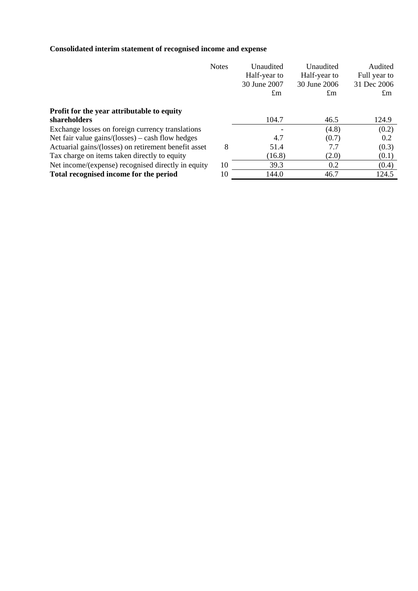# **Consolidated interim statement of recognised income and expense**

|                                                      | <b>Notes</b> | Unaudited    | Unaudited      | Audited      |
|------------------------------------------------------|--------------|--------------|----------------|--------------|
|                                                      |              | Half-year to | Half-year to   | Full year to |
|                                                      |              | 30 June 2007 | 30 June 2006   | 31 Dec 2006  |
|                                                      |              | $\pounds$ m  | $\mathfrak{m}$ | $\pm$ m      |
| Profit for the year attributable to equity           |              |              |                |              |
| shareholders                                         |              | 104.7        | 46.5           | 124.9        |
| Exchange losses on foreign currency translations     |              |              | (4.8)          | (0.2)        |
| Net fair value gains/(losses) – cash flow hedges     |              | 4.7          | (0.7)          | 0.2          |
| Actuarial gains/(losses) on retirement benefit asset | 8            | 51.4         | 7.7            | (0.3)        |
| Tax charge on items taken directly to equity         |              | (16.8)       | (2.0)          | (0.1)        |
| Net income/(expense) recognised directly in equity   | 10           | 39.3         | 0.2            | (0.4)        |
| Total recognised income for the period               | 10           | 144.0        | 46.7           | 124.5        |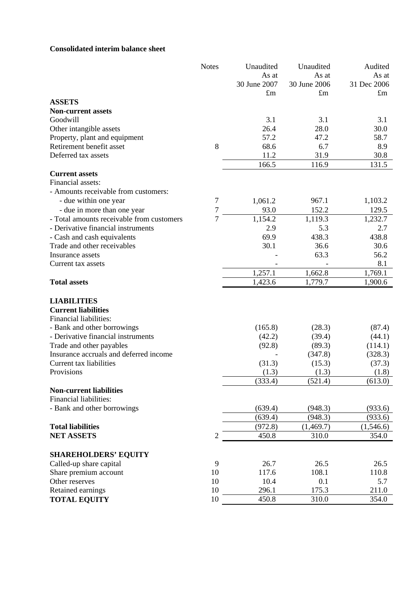## **Consolidated interim balance sheet**

| As at<br>As at<br>As at<br>31 Dec 2006<br>30 June 2007<br>30 June 2006<br>$\pounds$ m<br>$\pounds$ m<br>$\pounds$ m<br><b>ASSETS</b><br><b>Non-current assets</b><br>Goodwill<br>3.1<br>3.1<br>3.1<br>28.0<br>30.0<br>Other intangible assets<br>26.4<br>Property, plant and equipment<br>57.2<br>47.2<br>58.7<br>8<br>68.6<br>Retirement benefit asset<br>6.7<br>8.9<br>Deferred tax assets<br>11.2<br>30.8<br>31.9<br>166.5<br>116.9<br>131.5<br><b>Current assets</b> | <b>Notes</b> | Unaudited | Unaudited | Audited |
|--------------------------------------------------------------------------------------------------------------------------------------------------------------------------------------------------------------------------------------------------------------------------------------------------------------------------------------------------------------------------------------------------------------------------------------------------------------------------|--------------|-----------|-----------|---------|
|                                                                                                                                                                                                                                                                                                                                                                                                                                                                          |              |           |           |         |
|                                                                                                                                                                                                                                                                                                                                                                                                                                                                          |              |           |           |         |
|                                                                                                                                                                                                                                                                                                                                                                                                                                                                          |              |           |           |         |
|                                                                                                                                                                                                                                                                                                                                                                                                                                                                          |              |           |           |         |
|                                                                                                                                                                                                                                                                                                                                                                                                                                                                          |              |           |           |         |
|                                                                                                                                                                                                                                                                                                                                                                                                                                                                          |              |           |           |         |
|                                                                                                                                                                                                                                                                                                                                                                                                                                                                          |              |           |           |         |
|                                                                                                                                                                                                                                                                                                                                                                                                                                                                          |              |           |           |         |
|                                                                                                                                                                                                                                                                                                                                                                                                                                                                          |              |           |           |         |
|                                                                                                                                                                                                                                                                                                                                                                                                                                                                          |              |           |           |         |
|                                                                                                                                                                                                                                                                                                                                                                                                                                                                          |              |           |           |         |
|                                                                                                                                                                                                                                                                                                                                                                                                                                                                          |              |           |           |         |
| Financial assets:                                                                                                                                                                                                                                                                                                                                                                                                                                                        |              |           |           |         |
| - Amounts receivable from customers:                                                                                                                                                                                                                                                                                                                                                                                                                                     |              |           |           |         |
| 7<br>- due within one year<br>967.1<br>1,103.2<br>1,061.2                                                                                                                                                                                                                                                                                                                                                                                                                |              |           |           |         |
| 7<br>93.0<br>152.2<br>- due in more than one year<br>129.5                                                                                                                                                                                                                                                                                                                                                                                                               |              |           |           |         |
| $\overline{7}$<br>1,154.2<br>1,119.3<br>1,232.7<br>- Total amounts receivable from customers                                                                                                                                                                                                                                                                                                                                                                             |              |           |           |         |
| 2.9<br>2.7<br>- Derivative financial instruments<br>5.3                                                                                                                                                                                                                                                                                                                                                                                                                  |              |           |           |         |
| 438.8<br>69.9<br>438.3<br>- Cash and cash equivalents                                                                                                                                                                                                                                                                                                                                                                                                                    |              |           |           |         |
| Trade and other receivables<br>30.1<br>36.6<br>30.6                                                                                                                                                                                                                                                                                                                                                                                                                      |              |           |           |         |
| 63.3<br>56.2<br>Insurance assets                                                                                                                                                                                                                                                                                                                                                                                                                                         |              |           |           |         |
| 8.1<br>Current tax assets                                                                                                                                                                                                                                                                                                                                                                                                                                                |              |           |           |         |
| 1,257.1<br>1,662.8<br>1,769.1                                                                                                                                                                                                                                                                                                                                                                                                                                            |              |           |           |         |
| 1,423.6<br>1,779.7<br><b>Total assets</b><br>1,900.6                                                                                                                                                                                                                                                                                                                                                                                                                     |              |           |           |         |
|                                                                                                                                                                                                                                                                                                                                                                                                                                                                          |              |           |           |         |
| <b>LIABILITIES</b>                                                                                                                                                                                                                                                                                                                                                                                                                                                       |              |           |           |         |
| <b>Current liabilities</b><br>Financial liabilities:                                                                                                                                                                                                                                                                                                                                                                                                                     |              |           |           |         |
|                                                                                                                                                                                                                                                                                                                                                                                                                                                                          |              |           |           |         |
| - Bank and other borrowings<br>(165.8)<br>(87.4)<br>(28.3)<br>- Derivative financial instruments                                                                                                                                                                                                                                                                                                                                                                         |              |           |           |         |
| (42.2)<br>(39.4)<br>(44.1)                                                                                                                                                                                                                                                                                                                                                                                                                                               |              |           |           |         |
| Trade and other payables<br>(92.8)<br>(89.3)<br>(114.1)<br>Insurance accruals and deferred income<br>(328.3)                                                                                                                                                                                                                                                                                                                                                             |              |           |           |         |
| (347.8)<br>Current tax liabilities<br>(15.3)                                                                                                                                                                                                                                                                                                                                                                                                                             |              |           |           |         |
| (31.3)<br>(37.3)<br>Provisions<br>(1.3)<br>(1.3)<br>(1.8)                                                                                                                                                                                                                                                                                                                                                                                                                |              |           |           |         |
|                                                                                                                                                                                                                                                                                                                                                                                                                                                                          |              |           |           |         |
| (333.4)<br>(613.0)<br>(521.4)                                                                                                                                                                                                                                                                                                                                                                                                                                            |              |           |           |         |
| <b>Non-current liabilities</b><br>Financial liabilities:                                                                                                                                                                                                                                                                                                                                                                                                                 |              |           |           |         |
|                                                                                                                                                                                                                                                                                                                                                                                                                                                                          |              |           |           |         |
| (639.4)<br>(948.3)<br>- Bank and other borrowings<br>(933.6)                                                                                                                                                                                                                                                                                                                                                                                                             |              |           |           |         |
| (639.4)<br>(948.3)<br>(933.6)                                                                                                                                                                                                                                                                                                                                                                                                                                            |              |           |           |         |
| <b>Total liabilities</b><br>(972.8)<br>(1,469.7)<br>(1,546.6)                                                                                                                                                                                                                                                                                                                                                                                                            |              |           |           |         |
| <b>NET ASSETS</b><br>$\overline{c}$<br>450.8<br>310.0<br>354.0                                                                                                                                                                                                                                                                                                                                                                                                           |              |           |           |         |
| <b>SHAREHOLDERS' EQUITY</b>                                                                                                                                                                                                                                                                                                                                                                                                                                              |              |           |           |         |
| 9<br>Called-up share capital<br>26.7<br>26.5<br>26.5                                                                                                                                                                                                                                                                                                                                                                                                                     |              |           |           |         |
| Share premium account<br>10<br>108.1<br>117.6<br>110.8                                                                                                                                                                                                                                                                                                                                                                                                                   |              |           |           |         |
| Other reserves<br>10<br>10.4<br>5.7<br>0.1                                                                                                                                                                                                                                                                                                                                                                                                                               |              |           |           |         |
| 10<br>175.3<br>Retained earnings<br>296.1<br>211.0                                                                                                                                                                                                                                                                                                                                                                                                                       |              |           |           |         |
| <b>TOTAL EQUITY</b><br>10<br>450.8<br>310.0<br>354.0                                                                                                                                                                                                                                                                                                                                                                                                                     |              |           |           |         |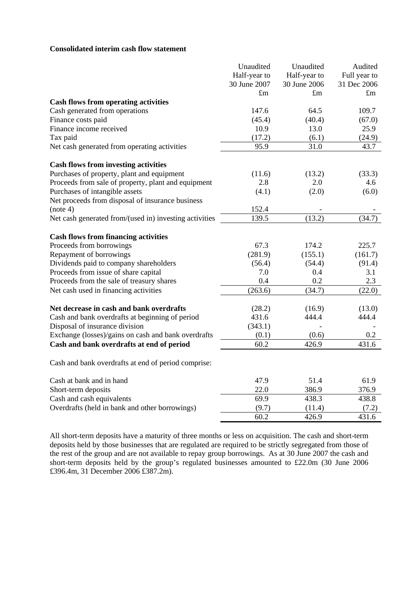#### **Consolidated interim cash flow statement**

|                                                        | Unaudited    | Unaudited    | Audited      |
|--------------------------------------------------------|--------------|--------------|--------------|
|                                                        | Half-year to | Half-year to | Full year to |
|                                                        | 30 June 2007 | 30 June 2006 | 31 Dec 2006  |
|                                                        | $\pounds$ m  | $\pounds$ m  | $\pounds$ m  |
| <b>Cash flows from operating activities</b>            |              |              |              |
| Cash generated from operations                         | 147.6        | 64.5         | 109.7        |
| Finance costs paid                                     | (45.4)       | (40.4)       | (67.0)       |
| Finance income received                                | 10.9         | 13.0         | 25.9         |
| Tax paid                                               | (17.2)       | (6.1)        | (24.9)       |
| Net cash generated from operating activities           | 95.9         | 31.0         | 43.7         |
| <b>Cash flows from investing activities</b>            |              |              |              |
| Purchases of property, plant and equipment             | (11.6)       | (13.2)       | (33.3)       |
| Proceeds from sale of property, plant and equipment    | 2.8          | 2.0          | 4.6          |
| Purchases of intangible assets                         | (4.1)        | (2.0)        | (6.0)        |
| Net proceeds from disposal of insurance business       |              |              |              |
| (note 4)                                               | 152.4        |              |              |
| Net cash generated from/(used in) investing activities | 139.5        | (13.2)       | (34.7)       |
| <b>Cash flows from financing activities</b>            |              |              |              |
| Proceeds from borrowings                               | 67.3         | 174.2        | 225.7        |
| Repayment of borrowings                                | (281.9)      | (155.1)      | (161.7)      |
| Dividends paid to company shareholders                 | (56.4)       | (54.4)       | (91.4)       |
| Proceeds from issue of share capital                   | 7.0          | 0.4          | 3.1          |
| Proceeds from the sale of treasury shares              | 0.4          | 0.2          | 2.3          |
| Net cash used in financing activities                  | (263.6)      | (34.7)       | (22.0)       |
| Net decrease in cash and bank overdrafts               | (28.2)       | (16.9)       | (13.0)       |
| Cash and bank overdrafts at beginning of period        | 431.6        | 444.4        | 444.4        |
| Disposal of insurance division                         | (343.1)      |              |              |
| Exchange (losses)/gains on cash and bank overdrafts    | (0.1)        | (0.6)        | 0.2          |
| Cash and bank overdrafts at end of period              | 60.2         | 426.9        | 431.6        |
| Cash and bank overdrafts at end of period comprise:    |              |              |              |
| Cash at bank and in hand                               | 47.9         | 51.4         | 61.9         |
| Short-term deposits                                    | 22.0         | 386.9        | 376.9        |
| Cash and cash equivalents                              | 69.9         | 438.3        | 438.8        |
| Overdrafts (held in bank and other borrowings)         | (9.7)        | (11.4)       | (7.2)        |
|                                                        | 60.2         | 426.9        | 431.6        |

All short-term deposits have a maturity of three months or less on acquisition. The cash and short-term deposits held by those businesses that are regulated are required to be strictly segregated from those of the rest of the group and are not available to repay group borrowings. As at 30 June 2007 the cash and short-term deposits held by the group's regulated businesses amounted to £22.0m (30 June 2006 £396.4m, 31 December 2006 £387.2m).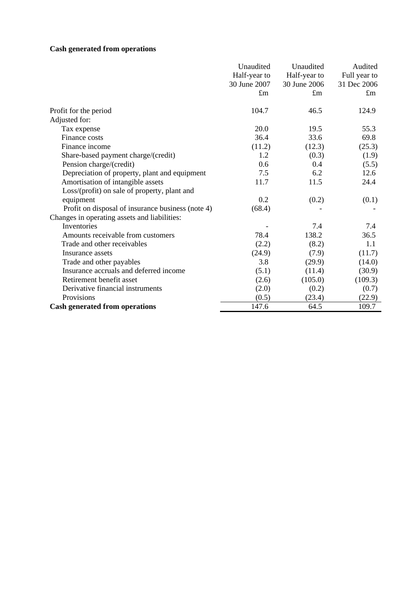# **Cash generated from operations**

|                                                   | Unaudited    | Unaudited    | Audited      |
|---------------------------------------------------|--------------|--------------|--------------|
|                                                   | Half-year to | Half-year to | Full year to |
|                                                   | 30 June 2007 | 30 June 2006 | 31 Dec 2006  |
|                                                   | $\pounds$ m  | $\pounds$ m  | $\pounds$ m  |
|                                                   |              |              |              |
| Profit for the period                             | 104.7        | 46.5         | 124.9        |
| Adjusted for:                                     |              |              |              |
| Tax expense                                       | 20.0         | 19.5         | 55.3         |
| Finance costs                                     | 36.4         | 33.6         | 69.8         |
| Finance income                                    | (11.2)       | (12.3)       | (25.3)       |
| Share-based payment charge/(credit)               | 1.2          | (0.3)        | (1.9)        |
| Pension charge/(credit)                           | 0.6          | 0.4          | (5.5)        |
| Depreciation of property, plant and equipment     | 7.5          | 6.2          | 12.6         |
| Amortisation of intangible assets                 | 11.7         | 11.5         | 24.4         |
| Loss/(profit) on sale of property, plant and      |              |              |              |
| equipment                                         | 0.2          | (0.2)        | (0.1)        |
| Profit on disposal of insurance business (note 4) | (68.4)       |              |              |
| Changes in operating assets and liabilities:      |              |              |              |
| Inventories                                       |              | 7.4          | 7.4          |
| Amounts receivable from customers                 | 78.4         | 138.2        | 36.5         |
| Trade and other receivables                       | (2.2)        | (8.2)        | 1.1          |
| Insurance assets                                  | (24.9)       | (7.9)        | (11.7)       |
| Trade and other payables                          | 3.8          | (29.9)       | (14.0)       |
| Insurance accruals and deferred income            | (5.1)        | (11.4)       | (30.9)       |
| Retirement benefit asset                          | (2.6)        | (105.0)      | (109.3)      |
| Derivative financial instruments                  | (2.0)        | (0.2)        | (0.7)        |
| Provisions                                        | (0.5)        | (23.4)       | (22.9)       |
| <b>Cash generated from operations</b>             | 147.6        | 64.5         | 109.7        |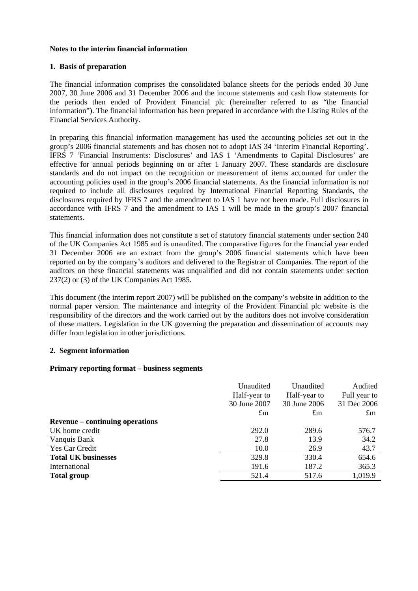#### **Notes to the interim financial information**

#### **1. Basis of preparation**

The financial information comprises the consolidated balance sheets for the periods ended 30 June 2007, 30 June 2006 and 31 December 2006 and the income statements and cash flow statements for the periods then ended of Provident Financial plc (hereinafter referred to as "the financial information"). The financial information has been prepared in accordance with the Listing Rules of the Financial Services Authority.

In preparing this financial information management has used the accounting policies set out in the group's 2006 financial statements and has chosen not to adopt IAS 34 'Interim Financial Reporting'. IFRS 7 'Financial Instruments: Disclosures' and IAS 1 'Amendments to Capital Disclosures' are effective for annual periods beginning on or after 1 January 2007. These standards are disclosure standards and do not impact on the recognition or measurement of items accounted for under the accounting policies used in the group's 2006 financial statements. As the financial information is not required to include all disclosures required by International Financial Reporting Standards, the disclosures required by IFRS 7 and the amendment to IAS 1 have not been made. Full disclosures in accordance with IFRS 7 and the amendment to IAS 1 will be made in the group's 2007 financial statements.

This financial information does not constitute a set of statutory financial statements under section 240 of the UK Companies Act 1985 and is unaudited. The comparative figures for the financial year ended 31 December 2006 are an extract from the group's 2006 financial statements which have been reported on by the company's auditors and delivered to the Registrar of Companies. The report of the auditors on these financial statements was unqualified and did not contain statements under section 237(2) or (3) of the UK Companies Act 1985.

This document (the interim report 2007) will be published on the company's website in addition to the normal paper version. The maintenance and integrity of the Provident Financial plc website is the responsibility of the directors and the work carried out by the auditors does not involve consideration of these matters. Legislation in the UK governing the preparation and dissemination of accounts may differ from legislation in other jurisdictions.

#### **2. Segment information**

#### **Primary reporting format – business segments**

|                                        | Unaudited    | Unaudited    | Audited      |
|----------------------------------------|--------------|--------------|--------------|
|                                        | Half-year to | Half-year to | Full year to |
|                                        | 30 June 2007 | 30 June 2006 | 31 Dec 2006  |
|                                        | $\pounds$ m  | $\pounds$ m  | $\pounds$ m  |
| <b>Revenue</b> – continuing operations |              |              |              |
| UK home credit                         | 292.0        | 289.6        | 576.7        |
| Vanquis Bank                           | 27.8         | 13.9         | 34.2         |
| Yes Car Credit                         | 10.0         | 26.9         | 43.7         |
| <b>Total UK businesses</b>             | 329.8        | 330.4        | 654.6        |
| International                          | 191.6        | 187.2        | 365.3        |
| <b>Total group</b>                     | 521.4        | 517.6        | 1,019.9      |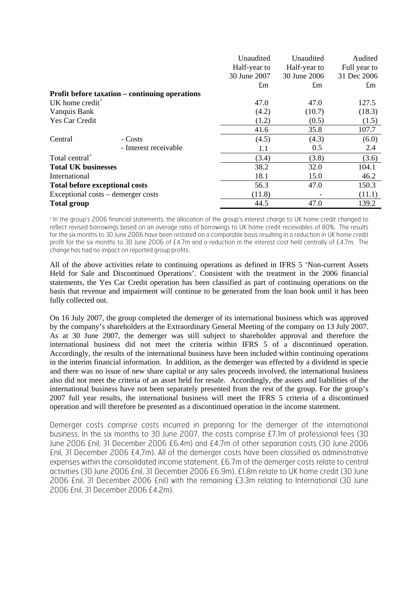|                                       |                                                       | Unaudited    | Unaudited    | Audited      |
|---------------------------------------|-------------------------------------------------------|--------------|--------------|--------------|
|                                       |                                                       | Half-year to | Half-year to | Full year to |
|                                       |                                                       | 30 June 2007 | 30 June 2006 | 31 Dec 2006  |
|                                       |                                                       | $\pounds$ m  | $\pounds$ m  | $\pounds$ m  |
|                                       | <b>Profit before taxation – continuing operations</b> |              |              |              |
| UK home credit <sup>+</sup>           |                                                       | 47.0         | 47.0         | 127.5        |
| Vanquis Bank                          |                                                       | (4.2)        | (10.7)       | (18.3)       |
| Yes Car Credit                        |                                                       | (1.2)        | (0.5)        | (1.5)        |
|                                       |                                                       | 41.6         | 35.8         | 107.7        |
| Central                               | - Costs                                               | (4.5)        | (4.3)        | (6.0)        |
|                                       | - Interest receivable                                 | 1.1          | 0.5          | 2.4          |
| Total central <sup>+</sup>            |                                                       | (3.4)        | (3.8)        | (3.6)        |
| <b>Total UK businesses</b>            |                                                       | 38.2         | 32.0         | 104.1        |
| International                         |                                                       | 18.1         | 15.0         | 46.2         |
| <b>Total before exceptional costs</b> |                                                       | 56.3         | 47.0         | 150.3        |
| Exceptional costs – demerger costs    |                                                       | (11.8)       |              | (11.1)       |
| <b>Total group</b>                    |                                                       | 44.5         | 47.0         | 139.2        |

+ In the group's 2006 financial statements, the allocation of the group's interest charge to UK home credit changed to reflect revised borrowings based on an average ratio of borrowings to UK home credit receivables of 80%. The results for the six months to 30 June 2006 have been restated on a comparable basis resulting in a reduction in UK home credit profit for the six months to 30 June 2006 of £4.7m and a reduction in the interest cost held centrally of £4.7m. The change has had no impact on reported group profits.

All of the above activities relate to continuing operations as defined in IFRS 5 'Non-current Assets Held for Sale and Discontinued Operations'. Consistent with the treatment in the 2006 financial statements, the Yes Car Credit operation has been classified as part of continuing operations on the basis that revenue and impairment will continue to be generated from the loan book until it has been fully collected out.

On 16 July 2007, the group completed the demerger of its international business which was approved by the company's shareholders at the Extraordinary General Meeting of the company on 13 July 2007. As at 30 June 2007, the demerger was still subject to shareholder approval and therefore the international business did not meet the criteria within IFRS 5 of a discontinued operation. Accordingly, the results of the international business have been included within continuing operations in the interim financial information. In addition, as the demerger was effected by a dividend in specie and there was no issue of new share capital or any sales proceeds involved, the international business also did not meet the criteria of an asset held for resale. Accordingly, the assets and liabilities of the international business have not been separately presented from the rest of the group. For the group's 2007 full year results, the international business will meet the IFRS 5 criteria of a discontinued operation and will therefore be presented as a discontinued operation in the income statement.

Demerger costs comprise costs incurred in preparing for the demerger of the international business. In the six months to 30 June 2007, the costs comprise £7.1m of professional fees (30 June 2006 £nil, 31 December 2006 £6.4m) and £4.7m of other separation costs (30 June 2006 £nil, 31 December 2006 £4.7m). All of the demerger costs have been classified as administrative expenses within the consolidated income statement. £6.7m of the demerger costs relate to central activities (30 June 2006 £nil, 31 December 2006 £6.9m), £1.8m relate to UK home credit (30 June 2006 £nil, 31 December 2006 £nil) with the remaining £3.3m relating to International (30 June 2006 £nil, 31 December 2006 £4.2m).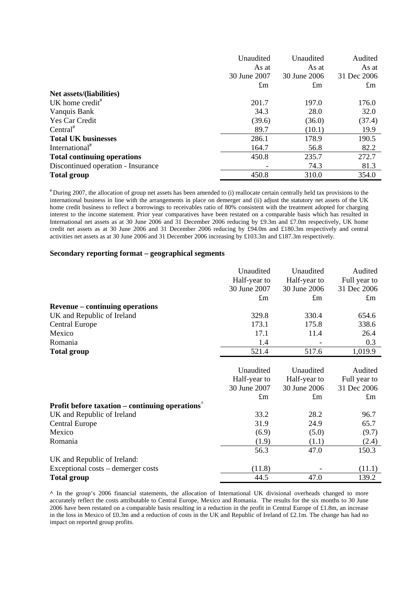|                                    | Unaudited    | Unaudited    | Audited     |
|------------------------------------|--------------|--------------|-------------|
|                                    | As at        | As at        | As at       |
|                                    | 30 June 2007 | 30 June 2006 | 31 Dec 2006 |
|                                    | $\pounds$ m  | $\pounds$ m  | $\pounds$ m |
| Net assets/(liabilities)           |              |              |             |
| UK home credit <sup>#</sup>        | 201.7        | 197.0        | 176.0       |
| Vanquis Bank                       | 34.3         | 28.0         | 32.0        |
| Yes Car Credit                     | (39.6)       | (36.0)       | (37.4)      |
| Central <sup>#</sup>               | 89.7         | (10.1)       | 19.9        |
| <b>Total UK businesses</b>         | 286.1        | 178.9        | 190.5       |
| International <sup>#</sup>         | 164.7        | 56.8         | 82.2        |
| <b>Total continuing operations</b> | 450.8        | 235.7        | 272.7       |
| Discontinued operation - Insurance |              | 74.3         | 81.3        |
| <b>Total group</b>                 | 450.8        | 310.0        | 354.0       |

# During 2007, the allocation of group net assets has been amended to (i) reallocate certain centrally held tax provisions to the international business in line with the arrangements in place on demerger and (ii) adjust the statutory net assets of the UK home credit business to reflect a borrowings to receivables ratio of 80% consistent with the treatment adopted for charging interest to the income statement. Prior year comparatives have been restated on a comparable basis which has resulted in International net assets as at 30 June 2006 and 31 December 2006 reducing by £9.3m and £7.0m respectively, UK home credit net assets as at 30 June 2006 and 31 December 2006 reducing by £94.0m and £180.3m respectively and central activities net assets as at 30 June 2006 and 31 December 2006 increasing by £103.3m and £187.3m respectively.

#### **Secondary reporting format – geographical segments**

|                                                       | Unaudited    | Unaudited    | Audited      |
|-------------------------------------------------------|--------------|--------------|--------------|
|                                                       | Half-year to | Half-year to | Full year to |
|                                                       | 30 June 2007 | 30 June 2006 | 31 Dec 2006  |
|                                                       | $\pounds$ m  | $\pounds$ m  | $\pounds$ m  |
| <b>Revenue – continuing operations</b>                |              |              |              |
| UK and Republic of Ireland                            | 329.8        | 330.4        | 654.6        |
| <b>Central Europe</b>                                 | 173.1        | 175.8        | 338.6        |
| Mexico                                                | 17.1         | 11.4         | 26.4         |
| Romania                                               | 1.4          |              | 0.3          |
| <b>Total group</b>                                    | 521.4        | 517.6        | 1,019.9      |
|                                                       |              |              |              |
|                                                       | Unaudited    | Unaudited    | Audited      |
|                                                       | Half-year to | Half-year to | Full year to |
|                                                       | 30 June 2007 | 30 June 2006 | 31 Dec 2006  |
|                                                       | $\pounds$ m  | $\pounds$ m  | $\pounds$ m  |
| <b>Profit before taxation – continuing operations</b> |              |              |              |
| UK and Republic of Ireland                            | 33.2         | 28.2         | 96.7         |
| <b>Central Europe</b>                                 | 31.9         | 24.9         | 65.7         |
| Mexico                                                | (6.9)        | (5.0)        | (9.7)        |
| Romania                                               | (1.9)        | (1.1)        | (2.4)        |
|                                                       | 56.3         | 47.0         | 150.3        |
| UK and Republic of Ireland:                           |              |              |              |
| Exceptional costs – demerger costs                    | (11.8)       |              | (11.1)       |
| <b>Total group</b>                                    | 44.5         | 47.0         | 139.2        |

**^** In the group's 2006 financial statements, the allocation of International UK divisional overheads changed to more accurately reflect the costs attributable to Central Europe, Mexico and Romania. The results for the six months to 30 June 2006 have been restated on a comparable basis resulting in a reduction in the profit in Central Europe of £1.8m, an increase in the loss in Mexico of £0.3m and a reduction of costs in the UK and Republic of Ireland of £2.1m. The change has had no impact on reported group profits.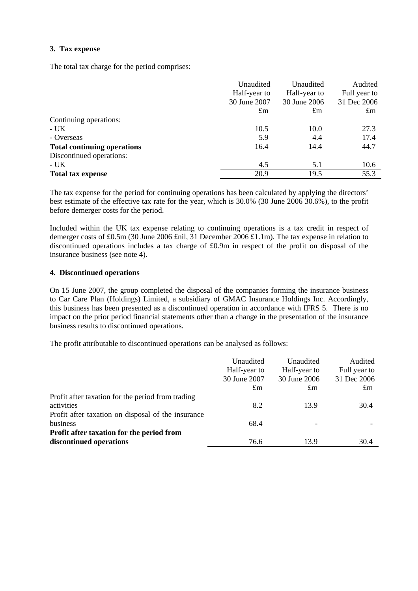#### **3. Tax expense**

The total tax charge for the period comprises:

|                                    | Unaudited    | Unaudited    | Audited      |
|------------------------------------|--------------|--------------|--------------|
|                                    | Half-year to | Half-year to | Full year to |
|                                    | 30 June 2007 | 30 June 2006 | 31 Dec 2006  |
|                                    | $\pounds$ m  | $\pounds$ m  | $\pounds$ m  |
| Continuing operations:             |              |              |              |
| - UK-                              | 10.5         | 10.0         | 27.3         |
| - Overseas                         | 5.9          | 4.4          | 17.4         |
| <b>Total continuing operations</b> | 16.4         | 14.4         | 44.7         |
| Discontinued operations:           |              |              |              |
| - UK                               | 4.5          | 5.1          | 10.6         |
| <b>Total tax expense</b>           | 20.9         | 19.5         | 55.3         |

The tax expense for the period for continuing operations has been calculated by applying the directors' best estimate of the effective tax rate for the year, which is 30.0% (30 June 2006 30.6%), to the profit before demerger costs for the period.

Included within the UK tax expense relating to continuing operations is a tax credit in respect of demerger costs of £0.5m (30 June 2006 £nil, 31 December 2006 £1.1m). The tax expense in relation to discontinued operations includes a tax charge of £0.9m in respect of the profit on disposal of the insurance business (see note 4).

### **4. Discontinued operations**

On 15 June 2007, the group completed the disposal of the companies forming the insurance business to Car Care Plan (Holdings) Limited, a subsidiary of GMAC Insurance Holdings Inc. Accordingly, this business has been presented as a discontinued operation in accordance with IFRS 5. There is no impact on the prior period financial statements other than a change in the presentation of the insurance business results to discontinued operations.

The profit attributable to discontinued operations can be analysed as follows:

|                                                                                                                       | Unaudited<br>Half-year to<br>30 June 2007 | Unaudited<br>Half-year to<br>30 June 2006 | Audited<br>Full year to<br>31 Dec 2006 |
|-----------------------------------------------------------------------------------------------------------------------|-------------------------------------------|-------------------------------------------|----------------------------------------|
|                                                                                                                       | $\pounds$ m                               | $\pounds$ m                               | $\pounds$ m                            |
| Profit after taxation for the period from trading<br>activities<br>Profit after taxation on disposal of the insurance | 8.2                                       | 13.9                                      | 30.4                                   |
| business                                                                                                              | 68.4                                      |                                           |                                        |
| Profit after taxation for the period from<br>discontinued operations                                                  | 76.6                                      | 13.9                                      | 30.4                                   |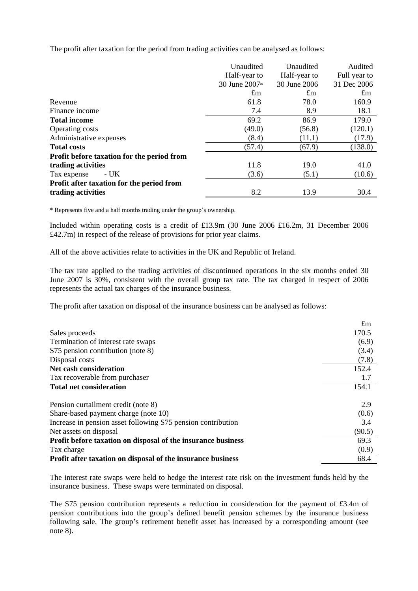The profit after taxation for the period from trading activities can be analysed as follows:

|                                            | Unaudited     | Unaudited    | Audited      |
|--------------------------------------------|---------------|--------------|--------------|
|                                            | Half-year to  | Half-year to | Full year to |
|                                            | 30 June 2007* | 30 June 2006 | 31 Dec 2006  |
|                                            | $\pounds$ m   | $\pounds$ m  | $\pounds$ m  |
| Revenue                                    | 61.8          | 78.0         | 160.9        |
| Finance income                             | 7.4           | 8.9          | 18.1         |
| <b>Total income</b>                        | 69.2          | 86.9         | 179.0        |
| Operating costs                            | (49.0)        | (56.8)       | (120.1)      |
| Administrative expenses                    | (8.4)         | (11.1)       | (17.9)       |
| <b>Total costs</b>                         | (57.4)        | (67.9)       | (138.0)      |
| Profit before taxation for the period from |               |              |              |
| trading activities                         | 11.8          | 19.0         | 41.0         |
| - UK<br>Tax expense                        | (3.6)         | (5.1)        | (10.6)       |
| Profit after taxation for the period from  |               |              |              |
| trading activities                         | 8.2           | 13.9         | 30.4         |

\* Represents five and a half months trading under the group's ownership.

Included within operating costs is a credit of £13.9m (30 June 2006 £16.2m, 31 December 2006 £42.7m) in respect of the release of provisions for prior year claims.

All of the above activities relate to activities in the UK and Republic of Ireland.

The tax rate applied to the trading activities of discontinued operations in the six months ended 30 June 2007 is 30%, consistent with the overall group tax rate. The tax charged in respect of 2006 represents the actual tax charges of the insurance business.

The profit after taxation on disposal of the insurance business can be analysed as follows:

|                                                              | $\pounds$ m |
|--------------------------------------------------------------|-------------|
| Sales proceeds                                               | 170.5       |
| Termination of interest rate swaps                           | (6.9)       |
| S75 pension contribution (note 8)                            | (3.4)       |
| Disposal costs                                               | (7.8)       |
| Net cash consideration                                       | 152.4       |
| Tax recoverable from purchaser                               | 1.7         |
| <b>Total net consideration</b>                               | 154.1       |
| Pension curtailment credit (note 8)                          | 2.9         |
| Share-based payment charge (note 10)                         | (0.6)       |
| Increase in pension asset following S75 pension contribution | 3.4         |
| Net assets on disposal                                       | (90.5)      |
| Profit before taxation on disposal of the insurance business | 69.3        |
| Tax charge                                                   | (0.9)       |
| Profit after taxation on disposal of the insurance business  | 68.4        |

The interest rate swaps were held to hedge the interest rate risk on the investment funds held by the insurance business. These swaps were terminated on disposal.

The S75 pension contribution represents a reduction in consideration for the payment of £3.4m of pension contributions into the group's defined benefit pension schemes by the insurance business following sale. The group's retirement benefit asset has increased by a corresponding amount (see note 8).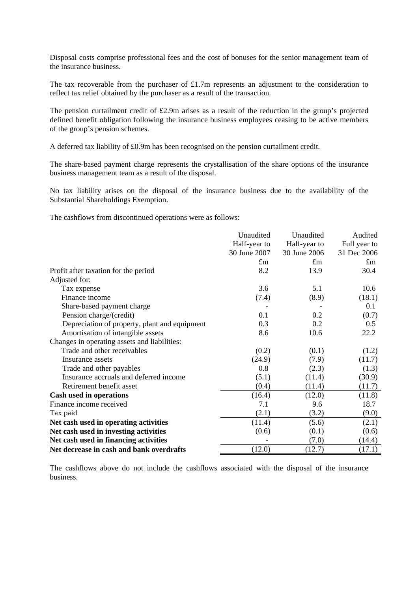Disposal costs comprise professional fees and the cost of bonuses for the senior management team of the insurance business.

The tax recoverable from the purchaser of  $£1.7m$  represents an adjustment to the consideration to reflect tax relief obtained by the purchaser as a result of the transaction.

The pension curtailment credit of £2.9m arises as a result of the reduction in the group's projected defined benefit obligation following the insurance business employees ceasing to be active members of the group's pension schemes.

A deferred tax liability of £0.9m has been recognised on the pension curtailment credit.

The share-based payment charge represents the crystallisation of the share options of the insurance business management team as a result of the disposal.

No tax liability arises on the disposal of the insurance business due to the availability of the Substantial Shareholdings Exemption.

The cashflows from discontinued operations were as follows:

|                                               | Unaudited    | Unaudited    | Audited      |
|-----------------------------------------------|--------------|--------------|--------------|
|                                               | Half-year to | Half-year to | Full year to |
|                                               | 30 June 2007 | 30 June 2006 | 31 Dec 2006  |
|                                               | $\pounds$ m  | $\pounds$ m  | $\pounds$ m  |
| Profit after taxation for the period          | 8.2          | 13.9         | 30.4         |
| Adjusted for:                                 |              |              |              |
| Tax expense                                   | 3.6          | 5.1          | 10.6         |
| Finance income                                | (7.4)        | (8.9)        | (18.1)       |
| Share-based payment charge                    |              |              | 0.1          |
| Pension charge/(credit)                       | 0.1          | 0.2          | (0.7)        |
| Depreciation of property, plant and equipment | 0.3          | 0.2          | 0.5          |
| Amortisation of intangible assets             | 8.6          | 10.6         | 22.2         |
| Changes in operating assets and liabilities:  |              |              |              |
| Trade and other receivables                   | (0.2)        | (0.1)        | (1.2)        |
| Insurance assets                              | (24.9)       | (7.9)        | (11.7)       |
| Trade and other payables                      | 0.8          | (2.3)        | (1.3)        |
| Insurance accruals and deferred income        | (5.1)        | (11.4)       | (30.9)       |
| Retirement benefit asset                      | (0.4)        | (11.4)       | (11.7)       |
| Cash used in operations                       | (16.4)       | (12.0)       | (11.8)       |
| Finance income received                       | 7.1          | 9.6          | 18.7         |
| Tax paid                                      | (2.1)        | (3.2)        | (9.0)        |
| Net cash used in operating activities         | (11.4)       | (5.6)        | (2.1)        |
| Net cash used in investing activities         | (0.6)        | (0.1)        | (0.6)        |
| Net cash used in financing activities         |              | (7.0)        | (14.4)       |
| Net decrease in cash and bank overdrafts      | (12.0)       | (12.7)       | (17.1)       |

The cashflows above do not include the cashflows associated with the disposal of the insurance business.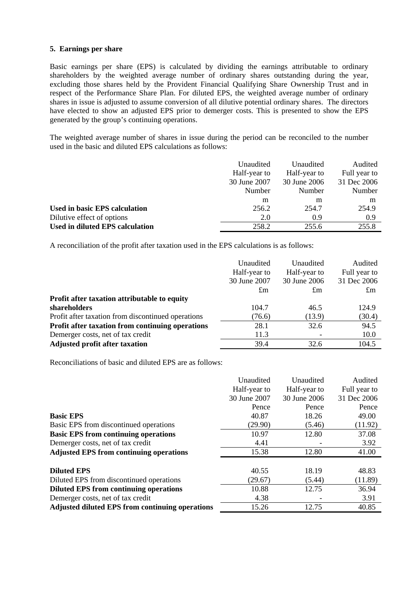#### **5. Earnings per share**

Basic earnings per share (EPS) is calculated by dividing the earnings attributable to ordinary shareholders by the weighted average number of ordinary shares outstanding during the year, excluding those shares held by the Provident Financial Qualifying Share Ownership Trust and in respect of the Performance Share Plan. For diluted EPS, the weighted average number of ordinary shares in issue is adjusted to assume conversion of all dilutive potential ordinary shares. The directors have elected to show an adjusted EPS prior to demerger costs. This is presented to show the EPS generated by the group's continuing operations.

The weighted average number of shares in issue during the period can be reconciled to the number used in the basic and diluted EPS calculations as follows:

|                                        | Unaudited<br>Half-year to<br>30 June 2007<br>Number | Unaudited<br>Half-year to<br>30 June 2006<br>Number | Audited<br>Full year to<br>31 Dec 2006<br>Number |
|----------------------------------------|-----------------------------------------------------|-----------------------------------------------------|--------------------------------------------------|
|                                        | m                                                   | m                                                   | m                                                |
| Used in basic EPS calculation          | 256.2                                               | 254.7                                               | 254.9                                            |
| Dilutive effect of options             | 2.0                                                 | 0.9                                                 | 0.9                                              |
| <b>Used in diluted EPS calculation</b> | 258.2                                               | 255.6                                               | 255.8                                            |

A reconciliation of the profit after taxation used in the EPS calculations is as follows:

|                                                    | Unaudited    | Unaudited    | Audited      |
|----------------------------------------------------|--------------|--------------|--------------|
|                                                    | Half-year to | Half-year to | Full year to |
|                                                    | 30 June 2007 | 30 June 2006 | 31 Dec 2006  |
|                                                    | $\pounds$ m  | $\pounds$ m  | $\pounds$ m  |
| Profit after taxation attributable to equity       |              |              |              |
| shareholders                                       | 104.7        | 46.5         | 124.9        |
| Profit after taxation from discontinued operations | (76.6)       | (13.9)       | (30.4)       |
| Profit after taxation from continuing operations   | 28.1         | 32.6         | 94.5         |
| Demerger costs, net of tax credit                  | 11.3         |              | 10.0         |
| <b>Adjusted profit after taxation</b>              | 39.4         | 32.6         | 104.5        |
|                                                    |              |              |              |

Reconciliations of basic and diluted EPS are as follows:

|                                                        | Unaudited<br>Half-year to | Unaudited<br>Half-year to | Audited<br>Full year to |
|--------------------------------------------------------|---------------------------|---------------------------|-------------------------|
|                                                        | 30 June 2007              | 30 June 2006              | 31 Dec 2006             |
|                                                        | Pence                     | Pence                     | Pence                   |
| <b>Basic EPS</b>                                       | 40.87                     | 18.26                     | 49.00                   |
| Basic EPS from discontinued operations                 | (29.90)                   | (5.46)                    | (11.92)                 |
| <b>Basic EPS from continuing operations</b>            | 10.97                     | 12.80                     | 37.08                   |
| Demerger costs, net of tax credit                      | 4.41                      |                           | 3.92                    |
| <b>Adjusted EPS from continuing operations</b>         | 15.38                     | 12.80                     | 41.00                   |
|                                                        |                           |                           |                         |
| <b>Diluted EPS</b>                                     | 40.55                     | 18.19                     | 48.83                   |
| Diluted EPS from discontinued operations               | (29.67)                   | (5.44)                    | (11.89)                 |
| <b>Diluted EPS from continuing operations</b>          | 10.88                     | 12.75                     | 36.94                   |
| Demerger costs, net of tax credit                      | 4.38                      |                           | 3.91                    |
| <b>Adjusted diluted EPS from continuing operations</b> | 15.26                     | 12.75                     | 40.85                   |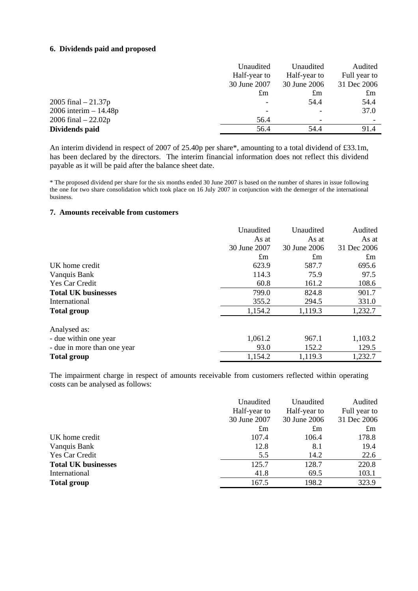#### **6. Dividends paid and proposed**

|                          | Unaudited    | Unaudited    | Audited      |
|--------------------------|--------------|--------------|--------------|
|                          | Half-year to | Half-year to | Full year to |
|                          | 30 June 2007 | 30 June 2006 | 31 Dec 2006  |
|                          | $\pounds$ m  | $\pounds$ m  | $\pounds$ m  |
| 2005 final $-21.37p$     |              | 54.4         | 54.4         |
| $2006$ interim $-14.48p$ |              |              | 37.0         |
| 2006 final $-22.02p$     | 56.4         |              |              |
| Dividends paid           | 56.4         | 54.4         | 91.4         |

An interim dividend in respect of 2007 of 25.40p per share\*, amounting to a total dividend of £33.1m, has been declared by the directors. The interim financial information does not reflect this dividend payable as it will be paid after the balance sheet date.

\* The proposed dividend per share for the six months ended 30 June 2007 is based on the number of shares in issue following the one for two share consolidation which took place on 16 July 2007 in conjunction with the demerger of the international business.

#### **7. Amounts receivable from customers**

|                             | Unaudited    | Unaudited    | Audited     |
|-----------------------------|--------------|--------------|-------------|
|                             | As at        | As at        | As at       |
|                             | 30 June 2007 | 30 June 2006 | 31 Dec 2006 |
|                             | $\pounds$ m  | $\pounds$ m  | $\pounds$ m |
| UK home credit              | 623.9        | 587.7        | 695.6       |
| Vanquis Bank                | 114.3        | 75.9         | 97.5        |
| <b>Yes Car Credit</b>       | 60.8         | 161.2        | 108.6       |
| <b>Total UK businesses</b>  | 799.0        | 824.8        | 901.7       |
| International               | 355.2        | 294.5        | 331.0       |
| <b>Total group</b>          | 1,154.2      | 1,119.3      | 1,232.7     |
| Analysed as:                |              |              |             |
| - due within one year       | 1,061.2      | 967.1        | 1,103.2     |
| - due in more than one year | 93.0         | 152.2        | 129.5       |
| <b>Total group</b>          | 1,154.2      | 1,119.3      | 1,232.7     |

The impairment charge in respect of amounts receivable from customers reflected within operating costs can be analysed as follows:

|                            | Unaudited    | Unaudited<br>Half-year to<br>Half-year to |             |
|----------------------------|--------------|-------------------------------------------|-------------|
|                            |              |                                           |             |
|                            | 30 June 2007 | 30 June 2006                              | 31 Dec 2006 |
|                            | $\pounds$ m  | $\pounds$ m                               | $\pounds$ m |
| UK home credit             | 107.4        | 106.4                                     | 178.8       |
| Vanquis Bank               | 12.8         | 8.1                                       | 19.4        |
| Yes Car Credit             | 5.5          | 14.2                                      | 22.6        |
| <b>Total UK businesses</b> | 125.7        | 128.7                                     | 220.8       |
| International              | 41.8         | 69.5                                      | 103.1       |
| <b>Total group</b>         | 167.5        | 198.2                                     | 323.9       |
|                            |              |                                           |             |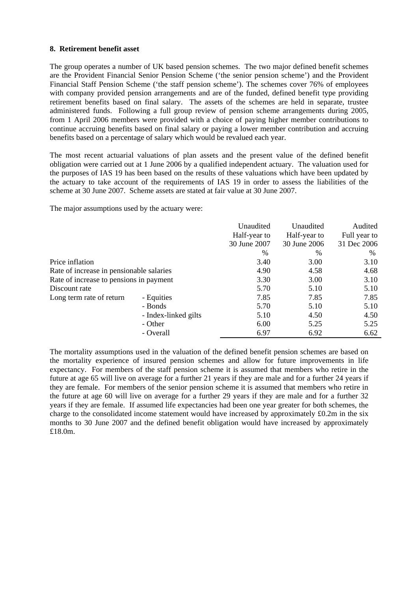#### **8. Retirement benefit asset**

The group operates a number of UK based pension schemes. The two major defined benefit schemes are the Provident Financial Senior Pension Scheme ('the senior pension scheme') and the Provident Financial Staff Pension Scheme ('the staff pension scheme'). The schemes cover 76% of employees with company provided pension arrangements and are of the funded, defined benefit type providing retirement benefits based on final salary. The assets of the schemes are held in separate, trustee administered funds. Following a full group review of pension scheme arrangements during 2005, from 1 April 2006 members were provided with a choice of paying higher member contributions to continue accruing benefits based on final salary or paying a lower member contribution and accruing benefits based on a percentage of salary which would be revalued each year.

The most recent actuarial valuations of plan assets and the present value of the defined benefit obligation were carried out at 1 June 2006 by a qualified independent actuary. The valuation used for the purposes of IAS 19 has been based on the results of these valuations which have been updated by the actuary to take account of the requirements of IAS 19 in order to assess the liabilities of the scheme at 30 June 2007. Scheme assets are stated at fair value at 30 June 2007.

The major assumptions used by the actuary were:

|                                          |           | Unaudited<br>Half-year to | Unaudited                    | Audited                     |
|------------------------------------------|-----------|---------------------------|------------------------------|-----------------------------|
|                                          |           | 30 June 2007              | Half-year to<br>30 June 2006 | Full year to<br>31 Dec 2006 |
|                                          |           | $\frac{0}{0}$             | $\frac{0}{0}$                | $\%$                        |
| Price inflation                          |           | 3.40                      | 3.00                         | 3.10                        |
| Rate of increase in pensionable salaries |           | 4.90                      | 4.58                         | 4.68                        |
| Rate of increase to pensions in payment  |           | 3.30                      | 3.00                         | 3.10                        |
| Discount rate                            |           | 5.70                      | 5.10                         | 5.10                        |
| Long term rate of return<br>- Equities   |           | 7.85                      | 7.85                         | 7.85                        |
|                                          | - Bonds   | 5.70                      | 5.10                         | 5.10                        |
| - Index-linked gilts                     |           | 5.10                      | 4.50                         | 4.50                        |
|                                          | - Other   | 6.00                      | 5.25                         | 5.25                        |
|                                          | - Overall | 6.97                      | 6.92                         | 6.62                        |

The mortality assumptions used in the valuation of the defined benefit pension schemes are based on the mortality experience of insured pension schemes and allow for future improvements in life expectancy. For members of the staff pension scheme it is assumed that members who retire in the future at age 65 will live on average for a further 21 years if they are male and for a further 24 years if they are female. For members of the senior pension scheme it is assumed that members who retire in the future at age 60 will live on average for a further 29 years if they are male and for a further 32 years if they are female. If assumed life expectancies had been one year greater for both schemes, the charge to the consolidated income statement would have increased by approximately  $\text{\pounds}0.2m$  in the six months to 30 June 2007 and the defined benefit obligation would have increased by approximately £18.0m.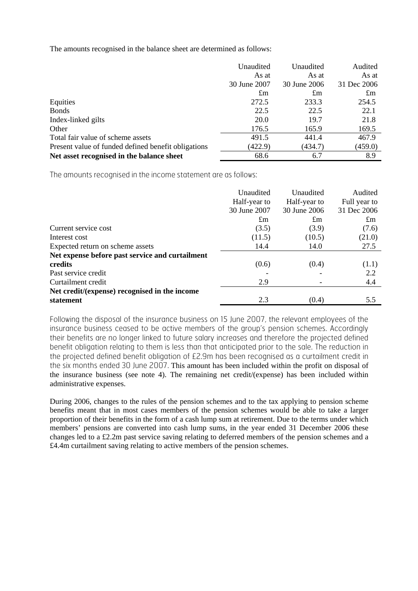The amounts recognised in the balance sheet are determined as follows:

|                                                     | Unaudited    | Unaudited    | Audited     |
|-----------------------------------------------------|--------------|--------------|-------------|
|                                                     | As at        | As at        | As at       |
|                                                     | 30 June 2007 | 30 June 2006 | 31 Dec 2006 |
|                                                     | $\pounds$ m  | $\pounds$ m  | $\pounds$ m |
| Equities                                            | 272.5        | 233.3        | 254.5       |
| <b>Bonds</b>                                        | 22.5         | 22.5         | 22.1        |
| Index-linked gilts                                  | 20.0         | 19.7         | 21.8        |
| Other                                               | 176.5        | 165.9        | 169.5       |
| Total fair value of scheme assets                   | 491.5        | 441.4        | 467.9       |
| Present value of funded defined benefit obligations | (422.9)      | (434.7)      | (459.0)     |
| Net asset recognised in the balance sheet           | 68.6         | 6.7          | 8.9         |

The amounts recognised in the income statement are as follows:

|                                                 | Unaudited<br>Half-year to<br>30 June 2007 | Unaudited<br>Half-year to<br>30 June 2006 | Audited<br>Full year to<br>31 Dec 2006 |
|-------------------------------------------------|-------------------------------------------|-------------------------------------------|----------------------------------------|
|                                                 | $\pounds$ m                               | $\pounds$ m                               | $\pounds$ m                            |
| Current service cost                            | (3.5)                                     | (3.9)                                     | (7.6)                                  |
| Interest cost                                   | (11.5)                                    | (10.5)                                    | (21.0)                                 |
| Expected return on scheme assets                | 14.4                                      | 14.0                                      | 27.5                                   |
| Net expense before past service and curtailment |                                           |                                           |                                        |
| credits                                         | (0.6)                                     | (0.4)                                     | (1.1)                                  |
| Past service credit                             |                                           |                                           | 2.2                                    |
| Curtailment credit                              | 2.9                                       |                                           | 4.4                                    |
| Net credit/(expense) recognised in the income   |                                           |                                           |                                        |
| statement                                       | 2.3                                       | (0.4)                                     | 5.5                                    |

Following the disposal of the insurance business on 15 June 2007, the relevant employees of the insurance business ceased to be active members of the group's pension schemes. Accordingly their benefits are no longer linked to future salary increases and therefore the projected defined benefit obligation relating to them is less than that anticipated prior to the sale. The reduction in the projected defined benefit obligation of £2.9m has been recognised as a curtailment credit in the six months ended 30 June 2007. This amount has been included within the profit on disposal of the insurance business (see note 4). The remaining net credit/(expense) has been included within administrative expenses.

During 2006, changes to the rules of the pension schemes and to the tax applying to pension scheme benefits meant that in most cases members of the pension schemes would be able to take a larger proportion of their benefits in the form of a cash lump sum at retirement. Due to the terms under which members' pensions are converted into cash lump sums, in the year ended 31 December 2006 these changes led to a £2.2m past service saving relating to deferred members of the pension schemes and a £4.4m curtailment saving relating to active members of the pension schemes.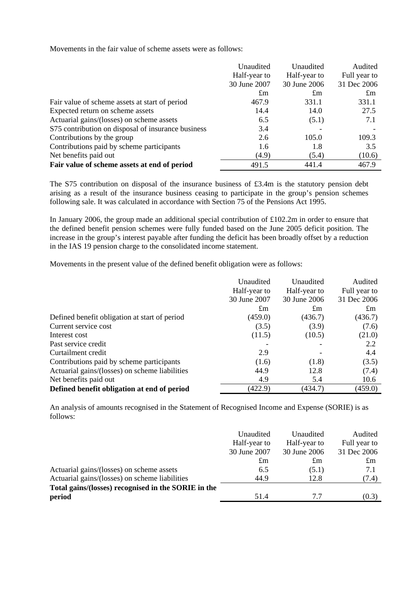Movements in the fair value of scheme assets were as follows:

|                                                    | Unaudited    | Unaudited    | Audited      |
|----------------------------------------------------|--------------|--------------|--------------|
|                                                    | Half-year to | Half-year to | Full year to |
|                                                    | 30 June 2007 | 30 June 2006 | 31 Dec 2006  |
|                                                    | $\pounds$ m  | $\pounds$ m  | $\pounds$ m  |
| Fair value of scheme assets at start of period     | 467.9        | 331.1        | 331.1        |
| Expected return on scheme assets                   | 14.4         | 14.0         | 27.5         |
| Actuarial gains/(losses) on scheme assets          | 6.5          | (5.1)        | 7.1          |
| S75 contribution on disposal of insurance business | 3.4          |              |              |
| Contributions by the group                         | 2.6          | 105.0        | 109.3        |
| Contributions paid by scheme participants          | 1.6          | 1.8          | 3.5          |
| Net benefits paid out                              | (4.9)        | (5.4)        | (10.6)       |
| Fair value of scheme assets at end of period       | 491.5        | 441.4        | 467.9        |

The S75 contribution on disposal of the insurance business of £3.4m is the statutory pension debt arising as a result of the insurance business ceasing to participate in the group's pension schemes following sale. It was calculated in accordance with Section 75 of the Pensions Act 1995.

In January 2006, the group made an additional special contribution of £102.2m in order to ensure that the defined benefit pension schemes were fully funded based on the June 2005 deficit position. The increase in the group's interest payable after funding the deficit has been broadly offset by a reduction in the IAS 19 pension charge to the consolidated income statement.

Movements in the present value of the defined benefit obligation were as follows:

|                                                | Unaudited<br>Unaudited |              | Audited        |  |
|------------------------------------------------|------------------------|--------------|----------------|--|
|                                                | Half-year to           | Half-year to | Full year to   |  |
|                                                | 30 June 2007           | 30 June 2006 | 31 Dec 2006    |  |
|                                                | $\pounds$ m            | $\pounds$ m  | $\mathfrak{m}$ |  |
| Defined benefit obligation at start of period  | (459.0)                | (436.7)      | (436.7)        |  |
| Current service cost                           | (3.5)                  | (3.9)        | (7.6)          |  |
| Interest cost                                  | (11.5)                 | (10.5)       | (21.0)         |  |
| Past service credit                            |                        |              | 2.2            |  |
| Curtailment credit                             | 2.9                    |              | 4.4            |  |
| Contributions paid by scheme participants      | (1.6)                  | (1.8)        | (3.5)          |  |
| Actuarial gains/(losses) on scheme liabilities | 44.9                   | 12.8         | (7.4)          |  |
| Net benefits paid out                          | 4.9                    | 5.4          | 10.6           |  |
| Defined benefit obligation at end of period    | (422.9)                | (434.7)      | (459.0)        |  |

An analysis of amounts recognised in the Statement of Recognised Income and Expense (SORIE) is as follows:

|                                                     | Unaudited<br>Half-year to<br>30 June 2007 | Unaudited<br>Half-year to<br>30 June 2006 | Audited<br>Full year to<br>31 Dec 2006 |
|-----------------------------------------------------|-------------------------------------------|-------------------------------------------|----------------------------------------|
|                                                     | $\pounds$ m                               | $\pounds$ m                               | $\pounds$ m                            |
| Actuarial gains/(losses) on scheme assets           | 6.5                                       | (5.1)                                     | 7.1                                    |
| Actuarial gains/(losses) on scheme liabilities      | 44.9                                      | 12.8                                      | (7.4)                                  |
| Total gains/(losses) recognised in the SORIE in the |                                           |                                           |                                        |
| period                                              | 51.4                                      | 77                                        | (0.3)                                  |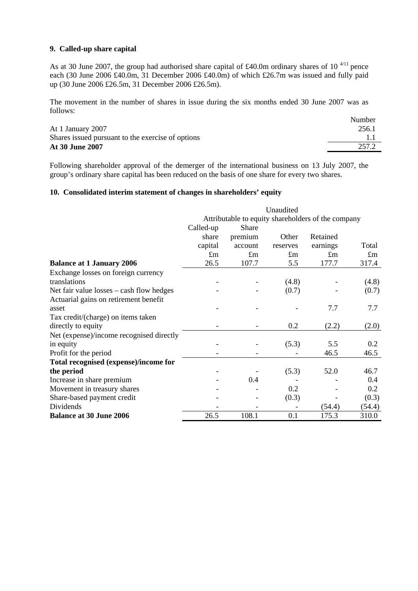### **9. Called-up share capital**

As at 30 June 2007, the group had authorised share capital of £40.0m ordinary shares of 10 $4/11$  pence each (30 June 2006 £40.0m, 31 December 2006 £40.0m) of which £26.7m was issued and fully paid up (30 June 2006 £26.5m, 31 December 2006 £26.5m).

The movement in the number of shares in issue during the six months ended 30 June 2007 was as follows:

|                                                   | Number |
|---------------------------------------------------|--------|
| At 1 January 2007                                 | 256.1  |
| Shares issued pursuant to the exercise of options |        |
| At 30 June 2007                                   | 257.2  |
|                                                   |        |

Following shareholder approval of the demerger of the international business on 13 July 2007, the group's ordinary share capital has been reduced on the basis of one share for every two shares.

### **10. Consolidated interim statement of changes in shareholders' equity**

|                                          | Unaudited                                          |              |             |             |             |
|------------------------------------------|----------------------------------------------------|--------------|-------------|-------------|-------------|
|                                          | Attributable to equity shareholders of the company |              |             |             |             |
|                                          | Called-up                                          | <b>Share</b> |             |             |             |
|                                          | share                                              | premium      | Other       | Retained    |             |
|                                          | capital                                            | account      | reserves    | earnings    | Total       |
|                                          | $\pounds$ m                                        | $\pounds$ m  | $\pounds$ m | $\pounds$ m | $\pounds$ m |
| <b>Balance at 1 January 2006</b>         | 26.5                                               | 107.7        | 5.5         | 177.7       | 317.4       |
| Exchange losses on foreign currency      |                                                    |              |             |             |             |
| translations                             |                                                    |              | (4.8)       |             | (4.8)       |
| Net fair value losses – cash flow hedges |                                                    |              | (0.7)       |             | (0.7)       |
| Actuarial gains on retirement benefit    |                                                    |              |             |             |             |
| asset                                    |                                                    |              |             | 7.7         | 7.7         |
| Tax credit/(charge) on items taken       |                                                    |              |             |             |             |
| directly to equity                       |                                                    |              | 0.2         | (2.2)       | (2.0)       |
| Net (expense)/income recognised directly |                                                    |              |             |             |             |
| in equity                                |                                                    |              | (5.3)       | 5.5         | 0.2         |
| Profit for the period                    |                                                    |              |             | 46.5        | 46.5        |
| Total recognised (expense)/income for    |                                                    |              |             |             |             |
| the period                               |                                                    |              | (5.3)       | 52.0        | 46.7        |
| Increase in share premium                |                                                    | 0.4          |             |             | 0.4         |
| Movement in treasury shares              |                                                    |              | 0.2         |             | 0.2         |
| Share-based payment credit               |                                                    |              | (0.3)       |             | (0.3)       |
| Dividends                                |                                                    |              |             | (54.4)      | (54.4)      |
| <b>Balance at 30 June 2006</b>           | 26.5                                               | 108.1        | 0.1         | 175.3       | 310.0       |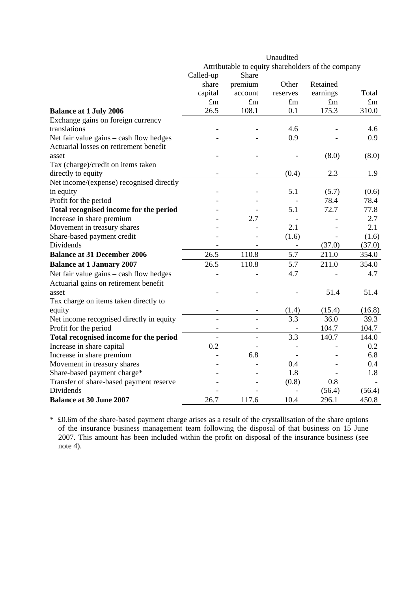|                                          | Unaudited                                          |                          |                  |             |        |
|------------------------------------------|----------------------------------------------------|--------------------------|------------------|-------------|--------|
|                                          | Attributable to equity shareholders of the company |                          |                  |             |        |
|                                          | Called-up                                          | Share                    |                  |             |        |
|                                          | share                                              | premium                  | Other            | Retained    |        |
|                                          | capital                                            | account                  | reserves         | earnings    | Total  |
|                                          | $\pounds$ m                                        | $\pounds$ m              | $\pounds$ m      | $\pounds$ m | £m     |
| <b>Balance at 1 July 2006</b>            | 26.5                                               | 108.1                    | 0.1              | 175.3       | 310.0  |
| Exchange gains on foreign currency       |                                                    |                          |                  |             |        |
| translations                             |                                                    |                          | 4.6              |             | 4.6    |
| Net fair value gains – cash flow hedges  |                                                    |                          | 0.9              |             | 0.9    |
| Actuarial losses on retirement benefit   |                                                    |                          |                  |             |        |
| asset                                    |                                                    |                          |                  | (8.0)       | (8.0)  |
| Tax (charge)/credit on items taken       |                                                    |                          |                  |             |        |
| directly to equity                       |                                                    |                          | (0.4)            | 2.3         | 1.9    |
| Net income/(expense) recognised directly |                                                    |                          |                  |             |        |
| in equity                                |                                                    |                          | 5.1              | (5.7)       | (0.6)  |
| Profit for the period                    | $\overline{a}$                                     | $\overline{\phantom{a}}$ |                  | 78.4        | 78.4   |
| Total recognised income for the period   |                                                    |                          | $\overline{5.1}$ | 72.7        | 77.8   |
| Increase in share premium                |                                                    | 2.7                      |                  |             | 2.7    |
| Movement in treasury shares              |                                                    |                          | 2.1              |             | 2.1    |
| Share-based payment credit               |                                                    |                          | (1.6)            |             | (1.6)  |
| Dividends                                |                                                    |                          |                  | (37.0)      | (37.0) |
| <b>Balance at 31 December 2006</b>       | $\overline{26.5}$                                  | 110.8                    | $\overline{5.7}$ | 211.0       | 354.0  |
| <b>Balance at 1 January 2007</b>         | 26.5                                               | 110.8                    | 5.7              | 211.0       | 354.0  |
| Net fair value gains - cash flow hedges  |                                                    |                          | 4.7              |             | 4.7    |
| Actuarial gains on retirement benefit    |                                                    |                          |                  |             |        |
| asset                                    |                                                    |                          |                  | 51.4        | 51.4   |
| Tax charge on items taken directly to    |                                                    |                          |                  |             |        |
| equity                                   |                                                    |                          | (1.4)            | (15.4)      | (16.8) |
| Net income recognised directly in equity |                                                    |                          | 3.3              | 36.0        | 39.3   |
| Profit for the period                    |                                                    |                          |                  | 104.7       | 104.7  |
| Total recognised income for the period   |                                                    |                          | 3.3              | 140.7       | 144.0  |
| Increase in share capital                | 0.2                                                |                          |                  |             | 0.2    |
| Increase in share premium                |                                                    | 6.8                      |                  |             | 6.8    |
| Movement in treasury shares              |                                                    |                          | 0.4              |             | 0.4    |
| Share-based payment charge*              |                                                    |                          | 1.8              |             | 1.8    |
| Transfer of share-based payment reserve  |                                                    |                          | (0.8)            | 0.8         |        |
| <b>Dividends</b>                         |                                                    |                          |                  | (56.4)      | (56.4) |
| <b>Balance at 30 June 2007</b>           | $26.\overline{7}$                                  | 117.6                    | 10.4             | 296.1       | 450.8  |

\* £0.6m of the share-based payment charge arises as a result of the crystallisation of the share options of the insurance business management team following the disposal of that business on 15 June 2007. This amount has been included within the profit on disposal of the insurance business (see note 4).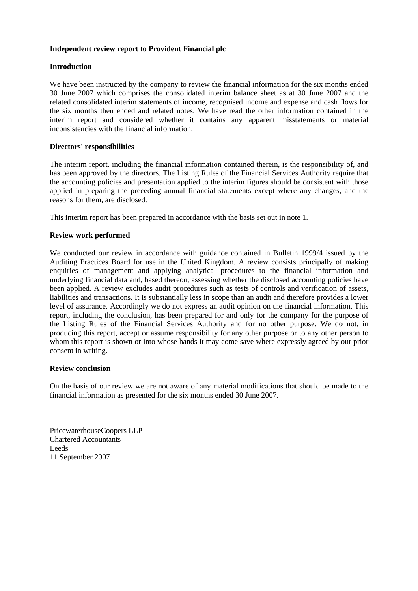#### **Independent review report to Provident Financial plc**

### **Introduction**

We have been instructed by the company to review the financial information for the six months ended 30 June 2007 which comprises the consolidated interim balance sheet as at 30 June 2007 and the related consolidated interim statements of income, recognised income and expense and cash flows for the six months then ended and related notes. We have read the other information contained in the interim report and considered whether it contains any apparent misstatements or material inconsistencies with the financial information.

### **Directors' responsibilities**

The interim report, including the financial information contained therein, is the responsibility of, and has been approved by the directors. The Listing Rules of the Financial Services Authority require that the accounting policies and presentation applied to the interim figures should be consistent with those applied in preparing the preceding annual financial statements except where any changes, and the reasons for them, are disclosed.

This interim report has been prepared in accordance with the basis set out in note 1.

### **Review work performed**

We conducted our review in accordance with guidance contained in Bulletin 1999/4 issued by the Auditing Practices Board for use in the United Kingdom. A review consists principally of making enquiries of management and applying analytical procedures to the financial information and underlying financial data and, based thereon, assessing whether the disclosed accounting policies have been applied. A review excludes audit procedures such as tests of controls and verification of assets, liabilities and transactions. It is substantially less in scope than an audit and therefore provides a lower level of assurance. Accordingly we do not express an audit opinion on the financial information. This report, including the conclusion, has been prepared for and only for the company for the purpose of the Listing Rules of the Financial Services Authority and for no other purpose. We do not, in producing this report, accept or assume responsibility for any other purpose or to any other person to whom this report is shown or into whose hands it may come save where expressly agreed by our prior consent in writing.

#### **Review conclusion**

On the basis of our review we are not aware of any material modifications that should be made to the financial information as presented for the six months ended 30 June 2007.

PricewaterhouseCoopers LLP Chartered Accountants Leeds 11 September 2007